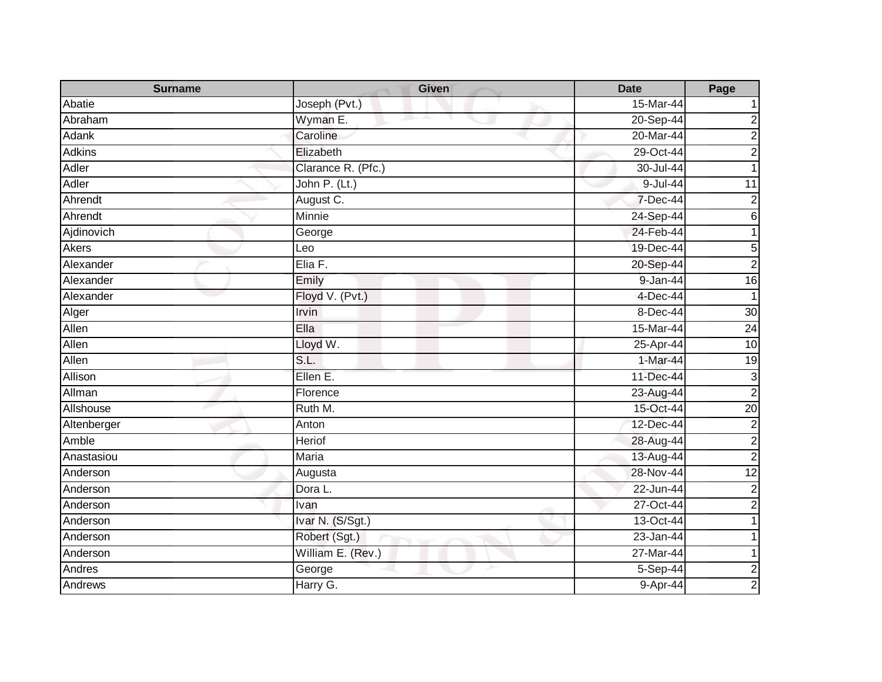| <b>Surname</b> | <b>Given</b>       | <b>Date</b>   | Page                    |
|----------------|--------------------|---------------|-------------------------|
| Abatie         | Joseph (Pvt.)      | 15-Mar-44     |                         |
| Abraham        | Wyman E.           | 20-Sep-44     | 2                       |
| Adank          | Caroline           | 20-Mar-44     | $\overline{c}$          |
| <b>Adkins</b>  | Elizabeth          | 29-Oct-44     | 2                       |
| Adler          | Clarance R. (Pfc.) | 30-Jul-44     |                         |
| Adler          | John P. (Lt.)      | 9-Jul-44      | 11                      |
| Ahrendt        | August C.          | 7-Dec-44      | $\mathbf 2$             |
| Ahrendt        | Minnie             | 24-Sep-44     | 6                       |
| Ajdinovich     | George             | 24-Feb-44     |                         |
| Akers          | Leo                | 19-Dec-44     | 5                       |
| Alexander      | Elia F.            | 20-Sep-44     | $\overline{2}$          |
| Alexander      | Emily              | 9-Jan-44      | $\overline{16}$         |
| Alexander      | Floyd V. (Pvt.)    | $4$ -Dec-44   | 1                       |
| Alger          | Irvin              | 8-Dec-44      | 30                      |
| Allen          | Ella               | 15-Mar-44     | $\overline{24}$         |
| Allen          | Lloyd W.           | 25-Apr-44     | 10                      |
| Allen          | S.L.               | 1-Mar-44      | 19                      |
| Allison        | Ellen E.           | 11-Dec-44     | $\mathbf{3}$            |
| Allman         | Florence           | 23-Aug-44     | $\mathbf 2$             |
| Allshouse      | Ruth M.            | 15-Oct-44     | $\overline{20}$         |
| Altenberger    | Anton              | 12-Dec-44     | $\boldsymbol{2}$        |
| Amble          | Heriof             | 28-Aug-44     | $\overline{\mathbf{c}}$ |
| Anastasiou     | Maria              | 13-Aug-44     | $\overline{c}$          |
| Anderson       | Augusta            | 28-Nov-44     | $\overline{12}$         |
| Anderson       | Dora L.            | 22-Jun-44     | $\overline{2}$          |
| Anderson       | Ivan               | $27 - Oct-44$ | $\overline{2}$          |
| Anderson       | Ivar N. (S/Sgt.)   | 13-Oct-44     |                         |
| Anderson       | Robert (Sgt.)      | 23-Jan-44     |                         |
| Anderson       | William E. (Rev.)  | 27-Mar-44     |                         |
| Andres         | George             | 5-Sep-44      | $\boldsymbol{2}$        |
| Andrews        | Harry G.           | 9-Apr-44      | $\overline{2}$          |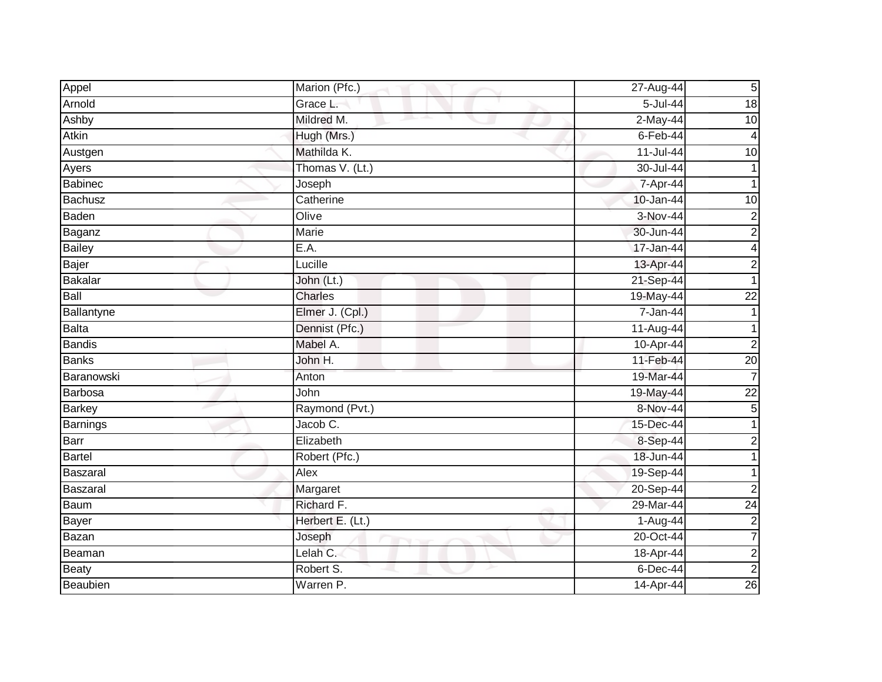| Appel           | Marion (Pfc.)    | 27-Aug-44     | 5 <sub>l</sub>  |
|-----------------|------------------|---------------|-----------------|
| Arnold          | Grace L.         | 5-Jul-44      | 18              |
| Ashby           | Mildred M.       | $2-May-44$    | $\overline{10}$ |
| Atkin           | Hugh (Mrs.)      | $6$ -Feb-44   | 4               |
| Austgen         | Mathilda K.      | $11 -$ Jul-44 | 10              |
| Ayers           | Thomas V. (Lt.)  | 30-Jul-44     |                 |
| <b>Babinec</b>  | Joseph           | 7-Apr-44      |                 |
| Bachusz         | Catherine        | 10-Jan-44     | 10              |
| Baden           | Olive            | 3-Nov-44      | $\overline{c}$  |
| Baganz          | <b>Marie</b>     | 30-Jun-44     | $\overline{2}$  |
| <b>Bailey</b>   | E.A.             | 17-Jan-44     | 4               |
| Bajer           | Lucille          | 13-Apr-44     | $\overline{c}$  |
| <b>Bakalar</b>  | John (Lt.)       | 21-Sep-44     |                 |
| Ball            | <b>Charles</b>   | 19-May-44     | $\overline{22}$ |
| Ballantyne      | Elmer J. (Cpl.)  | 7-Jan-44      |                 |
| <b>Balta</b>    | Dennist (Pfc.)   | 11-Aug-44     |                 |
| <b>Bandis</b>   | Mabel A.         | 10-Apr-44     | $\overline{2}$  |
| <b>Banks</b>    | John H.          | 11-Feb-44     | $\overline{20}$ |
| Baranowski      | Anton            | 19-Mar-44     | $\overline{7}$  |
| Barbosa         | John             | 19-May-44     | $\overline{22}$ |
| <b>Barkey</b>   | Raymond (Pvt.)   | 8-Nov-44      | 5               |
| <b>Barnings</b> | Jacob C.         | 15-Dec-44     |                 |
| Barr            | Elizabeth        | 8-Sep-44      | 2               |
| <b>Bartel</b>   | Robert (Pfc.)    | 18-Jun-44     |                 |
| <b>Baszaral</b> | Alex             | 19-Sep-44     |                 |
| Baszaral        | Margaret         | $20-Sep-44$   | $\overline{2}$  |
| <b>Baum</b>     | Richard F.       | 29-Mar-44     | 24              |
| Bayer           | Herbert E. (Lt.) | 1-Aug-44      | $\overline{2}$  |
| Bazan           | Joseph           | 20-Oct-44     | $\overline{7}$  |
| Beaman          | Lelah C.         | 18-Apr-44     | $\mathbf 2$     |
| <b>Beaty</b>    | Robert S.        | 6-Dec-44      | $\overline{2}$  |
| Beaubien        | Warren P.        | 14-Apr-44     | 26              |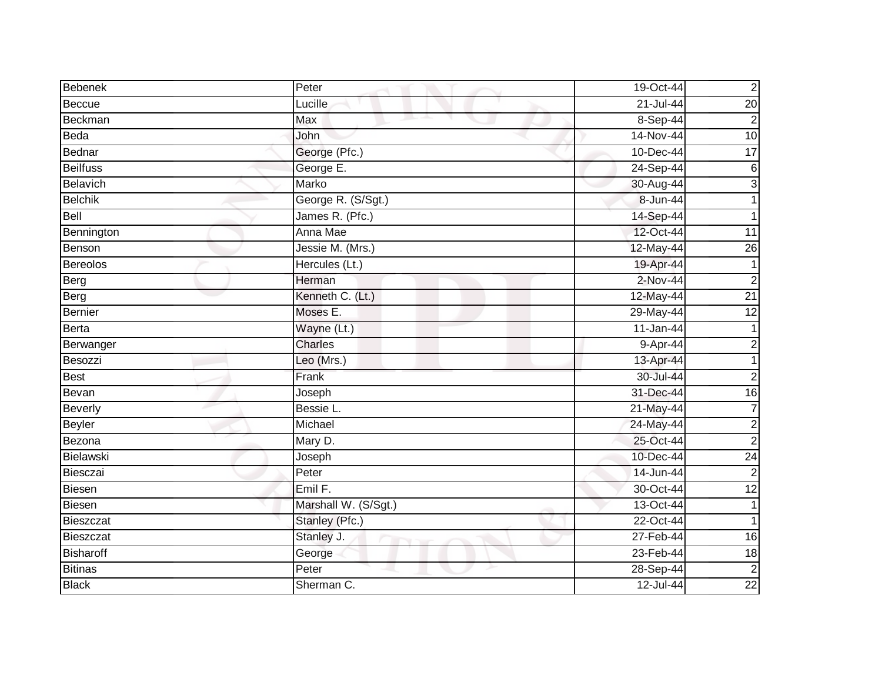| Bebenek          | Peter                | 19-Oct-44     | $\overline{2}$  |
|------------------|----------------------|---------------|-----------------|
| Beccue           | Lucille              | $21 -$ Jul-44 | $\overline{20}$ |
| Beckman          | Max                  | 8-Sep-44      | $\overline{2}$  |
| Beda             | John                 | 14-Nov-44     | $\overline{10}$ |
| Bednar           | George (Pfc.)        | 10-Dec-44     | 17              |
| <b>Beilfuss</b>  | George E.            | 24-Sep-44     | 6               |
| Belavich         | Marko                | 30-Aug-44     | $\mathbf{3}$    |
| <b>Belchik</b>   | George R. (S/Sgt.)   | 8-Jun-44      |                 |
| Bell             | James R. (Pfc.)      | 14-Sep-44     |                 |
| Bennington       | Anna Mae             | 12-Oct-44     | 11              |
| Benson           | Jessie M. (Mrs.)     | 12-May-44     | $\overline{26}$ |
| <b>Bereolos</b>  | Hercules (Lt.)       | 19-Apr-44     |                 |
| Berg             | Herman               | 2-Nov-44      | $\overline{2}$  |
| Berg             | Kenneth C. (Lt.)     | 12-May-44     | $\overline{21}$ |
| <b>Bernier</b>   | Moses E.             | 29-May-44     | $\overline{12}$ |
| <b>Berta</b>     | Wayne (Lt.)          | 11-Jan-44     |                 |
| Berwanger        | Charles              | 9-Apr-44      | $\overline{c}$  |
| Besozzi          | Leo (Mrs.)           | 13-Apr-44     | 1               |
| <b>Best</b>      | Frank                | 30-Jul-44     | $\overline{2}$  |
| Bevan            | Joseph               | 31-Dec-44     | 16              |
| Beverly          | Bessie L.            | 21-May-44     | 7               |
| <b>Beyler</b>    | Michael              | 24-May-44     | $\overline{c}$  |
| Bezona           | Mary D.              | 25-Oct-44     | $\overline{2}$  |
| Bielawski        | Joseph               | 10-Dec-44     | 24              |
| Biesczai         | Peter                | 14-Jun-44     | $\overline{c}$  |
| <b>Biesen</b>    | Emil F.              | 30-Oct-44     | 12              |
| <b>Biesen</b>    | Marshall W. (S/Sgt.) | 13-Oct-44     |                 |
| <b>Bieszczat</b> | Stanley (Pfc.)       | 22-Oct-44     |                 |
| Bieszczat        | Stanley J.           | 27-Feb-44     | 16              |
| <b>Bisharoff</b> | George               | 23-Feb-44     | 18              |
| <b>Bitinas</b>   | Peter                | 28-Sep-44     | $\overline{c}$  |
| <b>Black</b>     | Sherman C.           | 12-Jul-44     | $\overline{22}$ |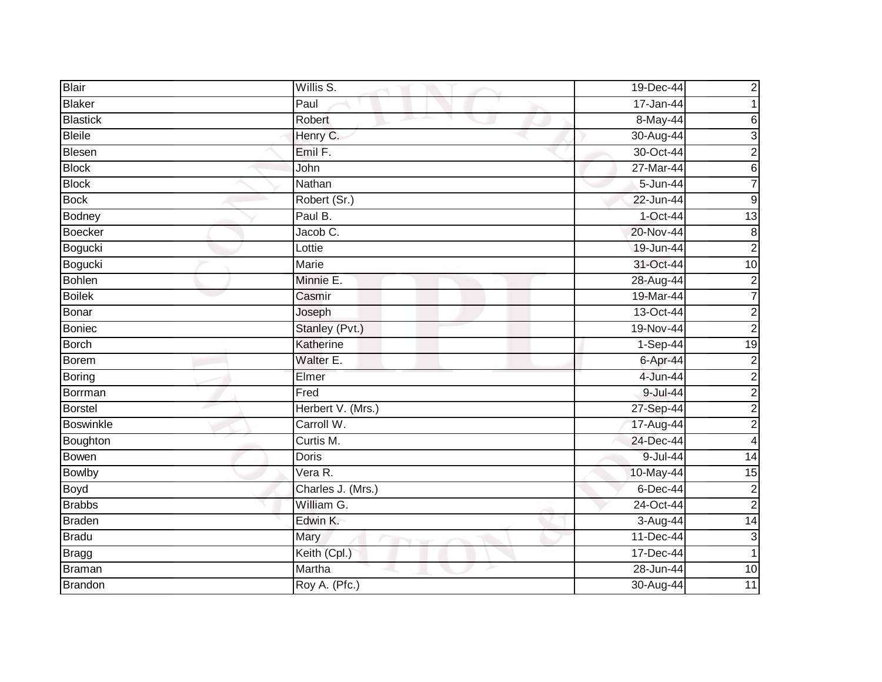| <b>Blair</b>     | Willis S.         | 19-Dec-44     | $\overline{c}$          |
|------------------|-------------------|---------------|-------------------------|
| <b>Blaker</b>    | Paul              | 17-Jan-44     |                         |
| <b>Blastick</b>  | Robert            | 8-May-44      | 6                       |
| <b>Bleile</b>    | Henry C.          | 30-Aug-44     | 3                       |
| Blesen           | Emil F.           | 30-Oct-44     | $\overline{a}$          |
| <b>Block</b>     | John              | 27-Mar-44     | 6                       |
| <b>Block</b>     | Nathan            | 5-Jun-44      | 7                       |
| <b>Bock</b>      | Robert (Sr.)      | $22 - Jun-44$ | $9\,$                   |
| Bodney           | Paul B.           | 1-Oct-44      | $\overline{13}$         |
| <b>Boecker</b>   | Jacob C.          | 20-Nov-44     | $\bf 8$                 |
| Bogucki          | Lottie            | 19-Jun-44     | $\overline{c}$          |
| Bogucki          | Marie             | 31-Oct-44     | $\overline{10}$         |
| <b>Bohlen</b>    | Minnie E.         | 28-Aug-44     | $\overline{c}$          |
| <b>Boilek</b>    | Casmir            | 19-Mar-44     | $\overline{7}$          |
| Bonar            | Joseph            | 13-Oct-44     | $\overline{c}$          |
| <b>Boniec</b>    | Stanley (Pvt.)    | 19-Nov-44     | $\overline{c}$          |
| <b>Borch</b>     | Katherine         | $1-Sep-44$    | $\overline{19}$         |
| Borem            | Walter E.         | 6-Apr-44      | $\overline{2}$          |
| <b>Boring</b>    | Elmer             | 4-Jun-44      | $\overline{c}$          |
| Borrman          | Fred              | 9-Jul-44      | $\overline{2}$          |
| <b>Borstel</b>   | Herbert V. (Mrs.) | 27-Sep-44     | $\overline{c}$          |
| <b>Boswinkle</b> | Carroll W.        | 17-Aug-44     | $\overline{c}$          |
| Boughton         | Curtis M.         | 24-Dec-44     | $\overline{\mathbf{4}}$ |
| Bowen            | <b>Doris</b>      | 9-Jul-44      | $\overline{14}$         |
| <b>Bowlby</b>    | Vera R.           | 10-May-44     | 15                      |
| <b>Boyd</b>      | Charles J. (Mrs.) | $6$ -Dec-44   | $\overline{c}$          |
| <b>Brabbs</b>    | William G.        | 24-Oct-44     | $\overline{2}$          |
| <b>Braden</b>    | Edwin K.          | 3-Aug-44      | $\overline{14}$         |
| <b>Bradu</b>     | Mary              | 11-Dec-44     | 3                       |
| <b>Bragg</b>     | Keith (Cpl.)      | 17-Dec-44     | 1                       |
| <b>Braman</b>    | Martha            | $28 - Jun-44$ | 10                      |
| <b>Brandon</b>   | Roy A. (Pfc.)     | 30-Aug-44     | $\overline{11}$         |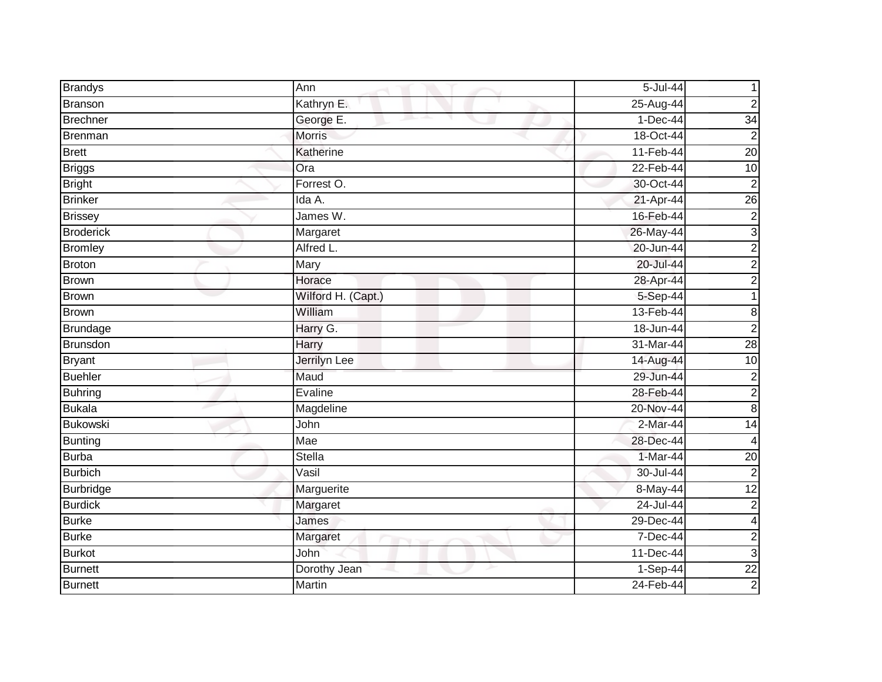| <b>Brandys</b>   | Ann                | 5-Jul-44    |                 |
|------------------|--------------------|-------------|-----------------|
| Branson          | Kathryn E.         | $25-Aug-44$ | $\overline{2}$  |
| <b>Brechner</b>  | George E.          | $1-Dec-44$  | 34              |
| <b>Brenman</b>   | <b>Morris</b>      | 18-Oct-44   | $\overline{2}$  |
| <b>Brett</b>     | Katherine          | 11-Feb-44   | $\overline{20}$ |
| <b>Briggs</b>    | Ora                | 22-Feb-44   | 10              |
| <b>Bright</b>    | Forrest O.         | 30-Oct-44   | $\overline{2}$  |
| <b>Brinker</b>   | Ida A.             | 21-Apr-44   | $\overline{26}$ |
| <b>Brissey</b>   | James W.           | 16-Feb-44   | $\overline{c}$  |
| <b>Broderick</b> | Margaret           | 26-May-44   | دن              |
| <b>Bromley</b>   | Alfred L.          | 20-Jun-44   | $\overline{c}$  |
| <b>Broton</b>    | Mary               | 20-Jul-44   | $\overline{c}$  |
| <b>Brown</b>     | Horace             | 28-Apr-44   | $\overline{2}$  |
| <b>Brown</b>     | Wilford H. (Capt.) | $5-Sep-44$  | 1               |
| <b>Brown</b>     | William            | 13-Feb-44   | 8               |
| <b>Brundage</b>  | Harry G.           | 18-Jun-44   | $\overline{2}$  |
| Brunsdon         | Harry              | 31-Mar-44   | $\overline{28}$ |
| <b>Bryant</b>    | Jerrilyn Lee       | 14-Aug-44   | 10              |
| <b>Buehler</b>   | Maud               | 29-Jun-44   | $\overline{c}$  |
| <b>Buhring</b>   | Evaline            | 28-Feb-44   | $\overline{c}$  |
| <b>Bukala</b>    | Magdeline          | 20-Nov-44   | 8               |
| <b>Bukowski</b>  | John               | $2-Mar-44$  | 14              |
| <b>Bunting</b>   | Mae                | 28-Dec-44   | 4               |
| <b>Burba</b>     | Stella             | 1-Mar-44    | $\overline{20}$ |
| <b>Burbich</b>   | Vasil              | 30-Jul-44   | $\overline{2}$  |
| <b>Burbridge</b> | Marguerite         | 8-May-44    | $\overline{12}$ |
| <b>Burdick</b>   | Margaret           | 24-Jul-44   | $\overline{c}$  |
| <b>Burke</b>     | James              | 29-Dec-44   | 4               |
| <b>Burke</b>     | Margaret           | 7-Dec-44    | $\overline{c}$  |
| <b>Burkot</b>    | John               | 11-Dec-44   | $\mathbf{3}$    |
| <b>Burnett</b>   | Dorothy Jean       | $1-Sep-44$  | $\overline{22}$ |
| <b>Burnett</b>   | Martin             | 24-Feb-44   | $\overline{2}$  |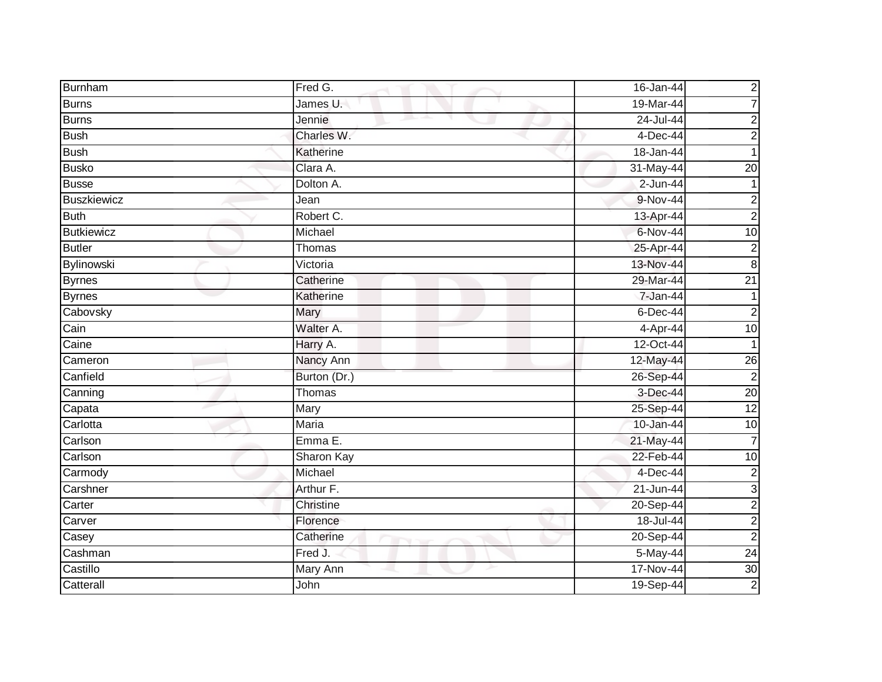| Burnham            | Fred G.      | 16-Jan-44    | $\overline{c}$  |
|--------------------|--------------|--------------|-----------------|
| <b>Burns</b>       | James U.     | 19-Mar-44    | $\overline{7}$  |
| <b>Burns</b>       | Jennie       | 24-Jul-44    | $\overline{c}$  |
| <b>Bush</b>        | Charles W.   | 4-Dec-44     | $\overline{c}$  |
| <b>Bush</b>        | Katherine    | 18-Jan-44    |                 |
| <b>Busko</b>       | Clara A.     | 31-May-44    | $\overline{20}$ |
| <b>Busse</b>       | Dolton A.    | 2-Jun-44     |                 |
| <b>Buszkiewicz</b> | Jean         | 9-Nov-44     | 2               |
| <b>Buth</b>        | Robert C.    | 13-Apr-44    | $\overline{2}$  |
| <b>Butkiewicz</b>  | Michael      | 6-Nov-44     | 10              |
| <b>Butler</b>      | Thomas       | 25-Apr-44    | $\overline{c}$  |
| Bylinowski         | Victoria     | 13-Nov-44    | $\bf 8$         |
| <b>Byrnes</b>      | Catherine    | 29-Mar-44    | $\overline{21}$ |
| <b>Byrnes</b>      | Katherine    | 7-Jan-44     |                 |
| Cabovsky           | Mary         | $6$ -Dec-44  | $\overline{c}$  |
| Cain               | Walter A.    | 4-Apr-44     | $\overline{10}$ |
| Caine              | Harry A.     | 12-Oct-44    |                 |
| Cameron            | Nancy Ann    | 12-May-44    | 26              |
| Canfield           | Burton (Dr.) | 26-Sep-44    | $\overline{2}$  |
| Canning            | Thomas       | 3-Dec-44     | $\overline{20}$ |
| Capata             | Mary         | 25-Sep-44    | 12              |
| Carlotta           | Maria        | 10-Jan-44    | 10              |
| Carlson            | Emma E.      | 21-May-44    | $\overline{7}$  |
| Carlson            | Sharon Kay   | 22-Feb-44    | 10              |
| Carmody            | Michael      | 4-Dec-44     | $\overline{c}$  |
| Carshner           | Arthur F.    | $21$ -Jun-44 | 3               |
| Carter             | Christine    | 20-Sep-44    | $\overline{c}$  |
| Carver             | Florence     | 18-Jul-44    | $\overline{c}$  |
| Casey              | Catherine    | $20-Sep-44$  | $\overline{c}$  |
| Cashman            | Fred J.      | 5-May-44     | $\overline{24}$ |
| Castillo           | Mary Ann     | 17-Nov-44    | 30              |
| Catterall          | John         | 19-Sep-44    | $\overline{2}$  |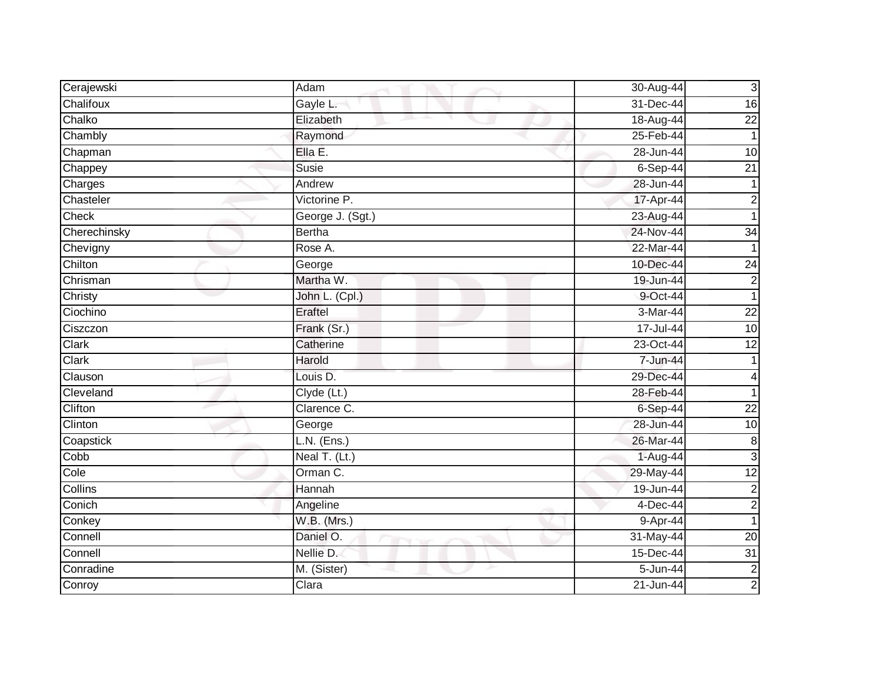| Cerajewski   | Adam             | 30-Aug-44    | $\mathbf{3}$    |
|--------------|------------------|--------------|-----------------|
| Chalifoux    | Gayle L.         | 31-Dec-44    | 16              |
| Chalko       | Elizabeth        | 18-Aug-44    | $\overline{22}$ |
| Chambly      | Raymond          | 25-Feb-44    | $\mathbf 1$     |
| Chapman      | Ella E.          | 28-Jun-44    | 10              |
| Chappey      | Susie            | $6-Sep-44$   | $\overline{21}$ |
| Charges      | Andrew           | 28-Jun-44    |                 |
| Chasteler    | Victorine P.     | 17-Apr-44    | $\overline{c}$  |
| Check        | George J. (Sgt.) | 23-Aug-44    |                 |
| Cherechinsky | <b>Bertha</b>    | 24-Nov-44    | $\overline{34}$ |
| Chevigny     | Rose A.          | 22-Mar-44    |                 |
| Chilton      | George           | 10-Dec-44    | $\overline{24}$ |
| Chrisman     | Martha W.        | 19-Jun-44    | $\overline{c}$  |
| Christy      | John L. (Cpl.)   | 9-Oct-44     |                 |
| Ciochino     | <b>Eraftel</b>   | 3-Mar-44     | $\overline{22}$ |
| Ciszczon     | Frank (Sr.)      | 17-Jul-44    | 10              |
| <b>Clark</b> | Catherine        | 23-Oct-44    | 12              |
| Clark        | Harold           | 7-Jun-44     |                 |
| Clauson      | Louis D.         | 29-Dec-44    | 4               |
| Cleveland    | Clyde (Lt.)      | 28-Feb-44    |                 |
| Clifton      | Clarence C.      | 6-Sep-44     | 22              |
| Clinton      | George           | 28-Jun-44    | 10              |
| Coapstick    | L.N. (Ens.)      | 26-Mar-44    | 8               |
| Cobb         | Neal T. (Lt.)    | 1-Aug-44     | $\mathbf{3}$    |
| Cole         | Orman C.         | 29-May-44    | $\overline{12}$ |
| Collins      | Hannah           | 19-Jun-44    | $\overline{2}$  |
| Conich       | Angeline         | $4$ -Dec-44  | $\overline{c}$  |
| Conkey       | W.B. (Mrs.)      | 9-Apr-44     |                 |
| Connell      | Daniel O.        | 31-May-44    | 20              |
| Connell      | Nellie D.        | 15-Dec-44    | 31              |
| Conradine    | M. (Sister)      | $5 - Jun-44$ | $\overline{c}$  |
| Conroy       | Clara            | 21-Jun-44    | $\overline{c}$  |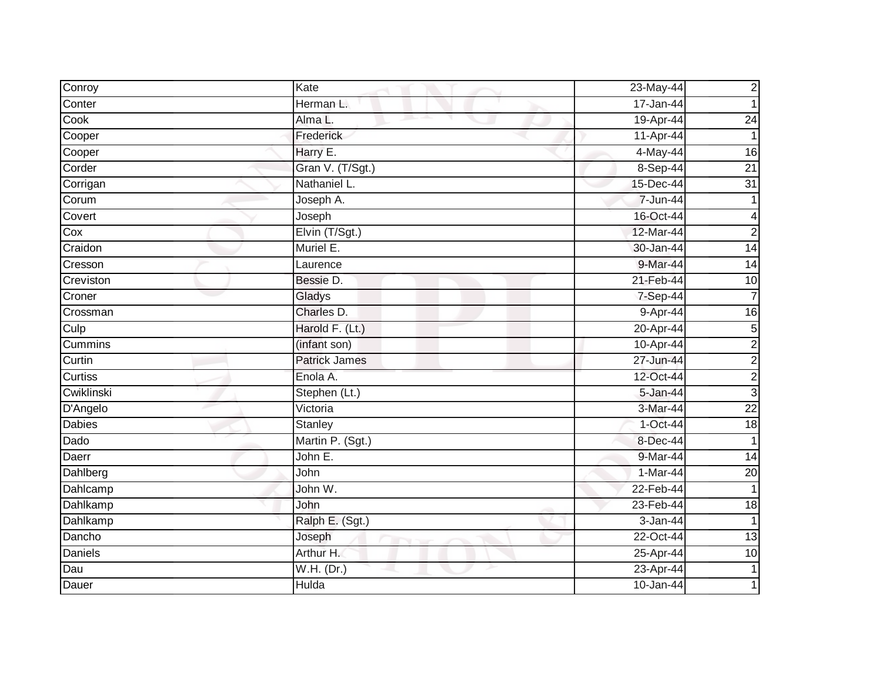| Conroy         | Kate             | 23-May-44  | $\overline{c}$  |
|----------------|------------------|------------|-----------------|
| Conter         | Herman L.        | 17-Jan-44  |                 |
| Cook           | Alma L.          | 19-Apr-44  | 24              |
| Cooper         | Frederick        | 11-Apr-44  |                 |
| Cooper         | Harry E.         | 4-May-44   | $\overline{16}$ |
| Corder         | Gran V. (T/Sgt.) | 8-Sep-44   | $\overline{21}$ |
| Corrigan       | Nathaniel L.     | 15-Dec-44  | $\overline{31}$ |
| Corum          | Joseph A.        | 7-Jun-44   |                 |
| Covert         | Joseph           | 16-Oct-44  | 4               |
| Cox            | Elvin (T/Sgt.)   | 12-Mar-44  | $\overline{2}$  |
| Craidon        | Muriel E.        | 30-Jan-44  | $\overline{14}$ |
| Cresson        | Laurence         | 9-Mar-44   | $\overline{14}$ |
| Creviston      | Bessie D.        | 21-Feb-44  | 10              |
| Croner         | Gladys           | 7-Sep-44   | $\overline{7}$  |
| Crossman       | Charles D.       | 9-Apr-44   | 16              |
| Culp           | Harold F. (Lt.)  | 20-Apr-44  | $\overline{5}$  |
| <b>Cummins</b> | (infant son)     | 10-Apr-44  | $\overline{c}$  |
| Curtin         | Patrick James    | 27-Jun-44  | $\overline{c}$  |
| <b>Curtiss</b> | Enola A.         | 12-Oct-44  | $\overline{c}$  |
| Cwiklinski     | Stephen (Lt.)    | 5-Jan-44   | $\mathbf{3}$    |
| D'Angelo       | Victoria         | 3-Mar-44   | $\overline{22}$ |
| <b>Dabies</b>  | Stanley          | $1-Oct-44$ | $\frac{1}{8}$   |
| Dado           | Martin P. (Sgt.) | 8-Dec-44   | 1               |
| Daerr          | John E.          | 9-Mar-44   | 14              |
| Dahlberg       | John             | 1-Mar-44   | $\overline{20}$ |
| Dahlcamp       | John W.          | 22-Feb-44  |                 |
| Dahlkamp       | John             | 23-Feb-44  | $\frac{1}{8}$   |
| Dahlkamp       | Ralph E. (Sgt.)  | 3-Jan-44   |                 |
| Dancho         | Joseph           | 22-Oct-44  | $\overline{13}$ |
| <b>Daniels</b> | Arthur H.        | 25-Apr-44  | 10              |
| Dau            | W.H. (Dr.)       | 23-Apr-44  |                 |
| Dauer          | Hulda            | 10-Jan-44  |                 |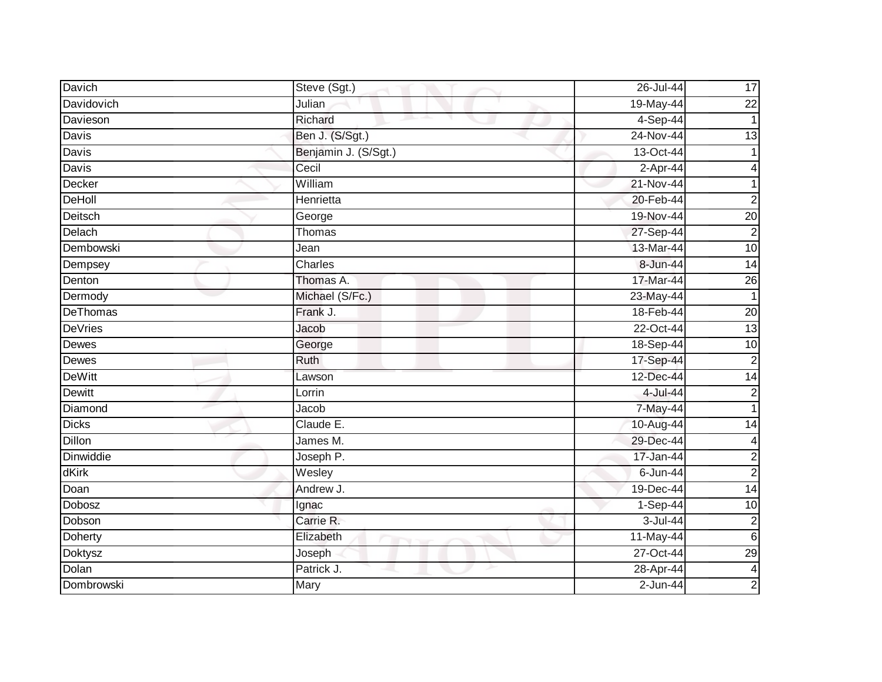| Davich          | Steve (Sgt.)                    | $26$ -Jul-44 | 17                      |
|-----------------|---------------------------------|--------------|-------------------------|
| Davidovich      | Julian                          | 19-May-44    | $\overline{22}$         |
| Davieson        | Richard                         | $4-Sep-44$   | $\mathbf 1$             |
| Davis           | Ben J. (S/Sgt.)                 | 24-Nov-44    | 13                      |
| <b>Davis</b>    | Benjamin J. (S/Sgt.)            | 13-Oct-44    |                         |
| Davis           | Cecil                           | $2-Apr-44$   |                         |
| Decker          | William                         | 21-Nov-44    |                         |
| DeHoll          | Henrietta                       | 20-Feb-44    | $\overline{2}$          |
| Deitsch         | George                          | 19-Nov-44    | $\overline{20}$         |
| Delach          | Thomas                          | 27-Sep-44    | $\overline{2}$          |
| Dembowski       | Jean                            | 13-Mar-44    | 10                      |
| Dempsey         | Charles                         | 8-Jun-44     | $\overline{14}$         |
| Denton          | Thomas A.                       | 17-Mar-44    | $\overline{26}$         |
| Dermody         | Michael (S/Fc.)                 | 23-May-44    | $\mathbf 1$             |
| <b>DeThomas</b> | Frank J.                        | 18-Feb-44    | $\overline{20}$         |
| <b>DeVries</b>  | Jacob                           | 22-Oct-44    | 13                      |
| <b>Dewes</b>    | George                          | 18-Sep-44    | 10                      |
| Dewes           | Ruth                            | 17-Sep-44    | $\overline{2}$          |
| <b>DeWitt</b>   | Lawson                          | 12-Dec-44    | 14                      |
| <b>Dewitt</b>   | Lorrin                          | 4-Jul-44     | $\overline{2}$          |
| Diamond         | Jacob                           | 7-May-44     | 1                       |
| <b>Dicks</b>    | Claude E.                       | 10-Aug-44    | $\overline{14}$         |
| <b>Dillon</b>   | James M.                        | 29-Dec-44    | 4                       |
| Dinwiddie       | Joseph P.                       | 17-Jan-44    | $\overline{c}$          |
| dKirk           | Wesley                          | $6 - Jun-44$ | $\overline{c}$          |
| Doan            | Andrew J.                       | 19-Dec-44    | 14                      |
| <b>Dobosz</b>   | Ignac                           | 1-Sep-44     | 10                      |
| Dobson          | Carrie R.                       | $3 -$ Jul-44 | $\overline{c}$          |
| Doherty         | Elizabeth<br><b>START START</b> | 11-May-44    | $\,6$                   |
| Doktysz         | Joseph                          | 27-Oct-44    | $\overline{29}$         |
| Dolan           | Patrick J.                      | 28-Apr-44    | $\overline{\mathbf{4}}$ |
| Dombrowski      | Mary                            | $2$ -Jun-44  | $\overline{2}$          |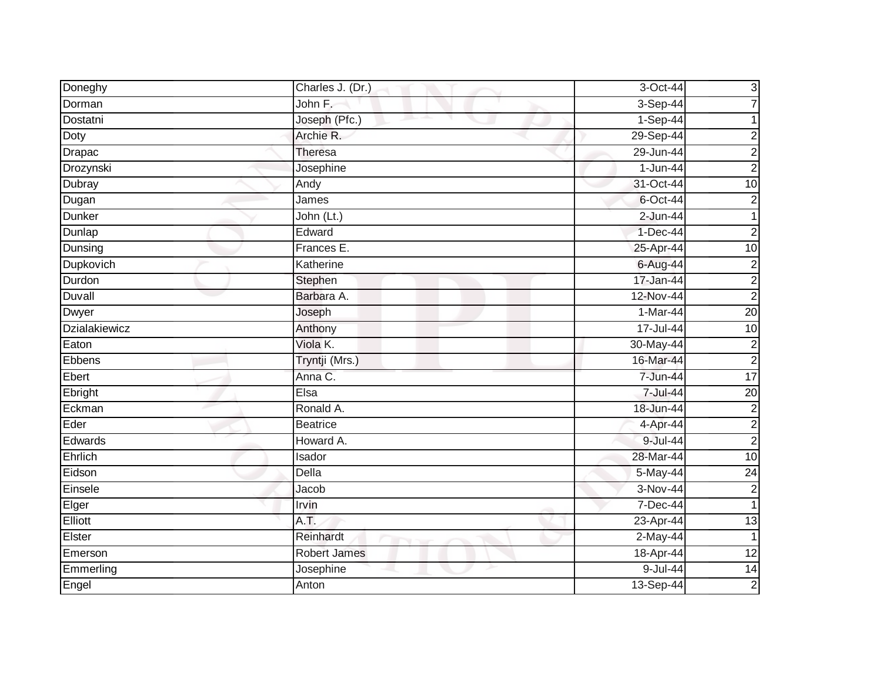| Doneghy              | Charles J. (Dr.)    | 3-Oct-44   | $\mathbf{3}$    |
|----------------------|---------------------|------------|-----------------|
| Dorman               | John F.             | $3-Sep-44$ | $\overline{7}$  |
| Dostatni             | Joseph (Pfc.)       | 1-Sep-44   |                 |
| Doty                 | Archie R.           | 29-Sep-44  | $\overline{c}$  |
| Drapac               | Theresa             | 29-Jun-44  | $\overline{c}$  |
| Drozynski            | Josephine           | 1-Jun-44   | $\overline{c}$  |
| Dubray               | Andy                | 31-Oct-44  | 10              |
| Dugan                | James               | 6-Oct-44   | 2 <sub>1</sub>  |
| <b>Dunker</b>        | John (Lt.)          | 2-Jun-44   | 1               |
| Dunlap               | Edward              | $1-Dec-44$ | $\overline{2}$  |
| Dunsing              | Frances E.          | 25-Apr-44  | 10              |
| Dupkovich            | Katherine           | 6-Aug-44   | $\overline{c}$  |
| Durdon               | Stephen             | 17-Jan-44  | $\overline{2}$  |
| Duvall               | Barbara A.          | 12-Nov-44  | $\overline{2}$  |
| Dwyer                | Joseph              | 1-Mar-44   | 20              |
| <b>Dzialakiewicz</b> | Anthony             | 17-Jul-44  | 10              |
| Eaton                | Viola K.            | 30-May-44  | $\overline{c}$  |
| Ebbens               | Tryntji (Mrs.)      | 16-Mar-44  | $\overline{2}$  |
| Ebert                | Anna C.             | 7-Jun-44   | 17              |
| Ebright              | Elsa                | 7-Jul-44   | $\overline{20}$ |
| Eckman               | Ronald A.           | 18-Jun-44  | $\overline{c}$  |
| Eder                 | <b>Beatrice</b>     | 4-Apr-44   | $\overline{2}$  |
| Edwards              | Howard A.           | 9-Jul-44   | $\overline{c}$  |
| Ehrlich              | Isador              | 28-Mar-44  | $\overline{10}$ |
| Eidson               | Della               | 5-May-44   | $\overline{24}$ |
| Einsele              | Jacob               | 3-Nov-44   | $\overline{2}$  |
| Elger                | Irvin               | 7-Dec-44   | 1               |
| Elliott              | A.T.                | 23-Apr-44  | $\overline{13}$ |
| Elster               | Reinhardt           | 2-May-44   | $\mathbf 1$     |
| Emerson              | <b>Robert James</b> | 18-Apr-44  | 12              |
| Emmerling            | Josephine           | 9-Jul-44   | 14              |
| Engel                | Anton               | 13-Sep-44  | $\overline{2}$  |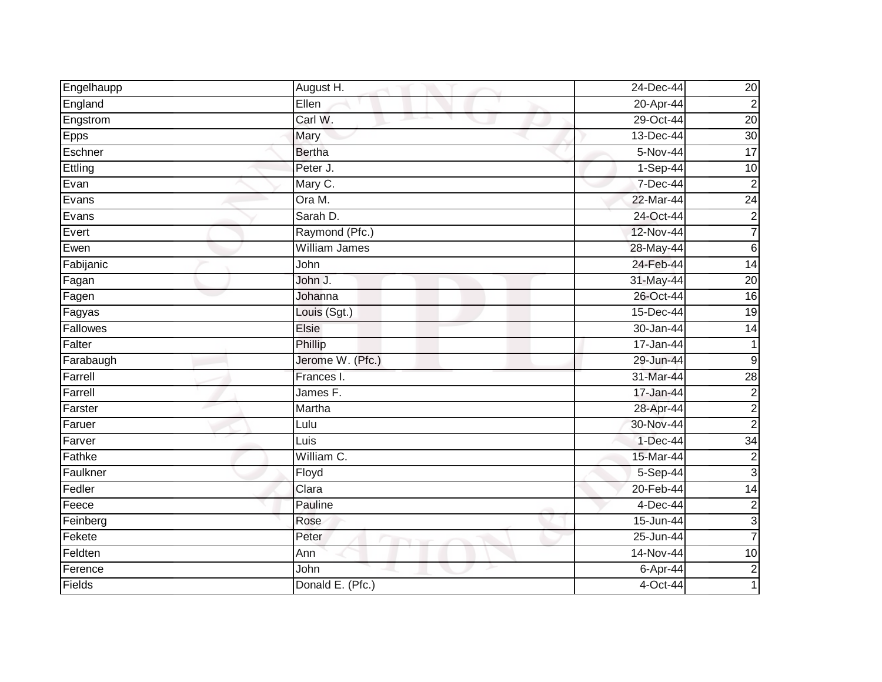| Engelhaupp  | August H.        | 24-Dec-44   | 20              |
|-------------|------------------|-------------|-----------------|
| England     | Ellen            | 20-Apr-44   | $\overline{c}$  |
| Engstrom    | Carl W.          | 29-Oct-44   | 20              |
| <b>Epps</b> | Mary             | 13-Dec-44   | 30              |
| Eschner     | <b>Bertha</b>    | 5-Nov-44    | 17              |
| Ettling     | Peter J.         | 1-Sep-44    | 10              |
| Evan        | Mary C.          | 7-Dec-44    | $\overline{2}$  |
| Evans       | Ora M.           | 22-Mar-44   | $\overline{24}$ |
| Evans       | Sarah D.         | 24-Oct-44   | $\overline{c}$  |
| Evert       | Raymond (Pfc.)   | 12-Nov-44   | 7               |
| Ewen        | William James    | 28-May-44   | $\,6$           |
| Fabijanic   | John             | 24-Feb-44   | 14              |
| Fagan       | John J.          | 31-May-44   | $\overline{20}$ |
| Fagen       | Johanna          | 26-Oct-44   | $\overline{16}$ |
| Fagyas      | Louis (Sgt.)     | 15-Dec-44   | $\overline{19}$ |
| Fallowes    | Elsie            | 30-Jan-44   | $\overline{14}$ |
| Falter      | Phillip          | 17-Jan-44   | 1               |
| Farabaugh   | Jerome W. (Pfc.) | 29-Jun-44   | $9\,$           |
| Farrell     | Frances I.       | 31-Mar-44   | 28              |
| Farrell     | James F.         | 17-Jan-44   | $\overline{c}$  |
| Farster     | Martha           | 28-Apr-44   | $\overline{c}$  |
| Faruer      | Lulu             | 30-Nov-44   | $\overline{2}$  |
| Farver      | Luis             | $1-Dec-44$  | 34              |
| Fathke      | William C.       | 15-Mar-44   | $\overline{c}$  |
| Faulkner    | Floyd            | 5-Sep-44    | دن              |
| Fedler      | Clara            | 20-Feb-44   | 14              |
| Feece       | Pauline          | $4$ -Dec-44 | $\overline{c}$  |
| Feinberg    | Rose             | 15-Jun-44   | $\mathbf{3}$    |
| Fekete      | Peter            | 25-Jun-44   | 7               |
| Feldten     | Ann              | 14-Nov-44   | 10              |
| Ference     | John             | 6-Apr-44    | $\overline{c}$  |
| Fields      | Donald E. (Pfc.) | 4-Oct-44    |                 |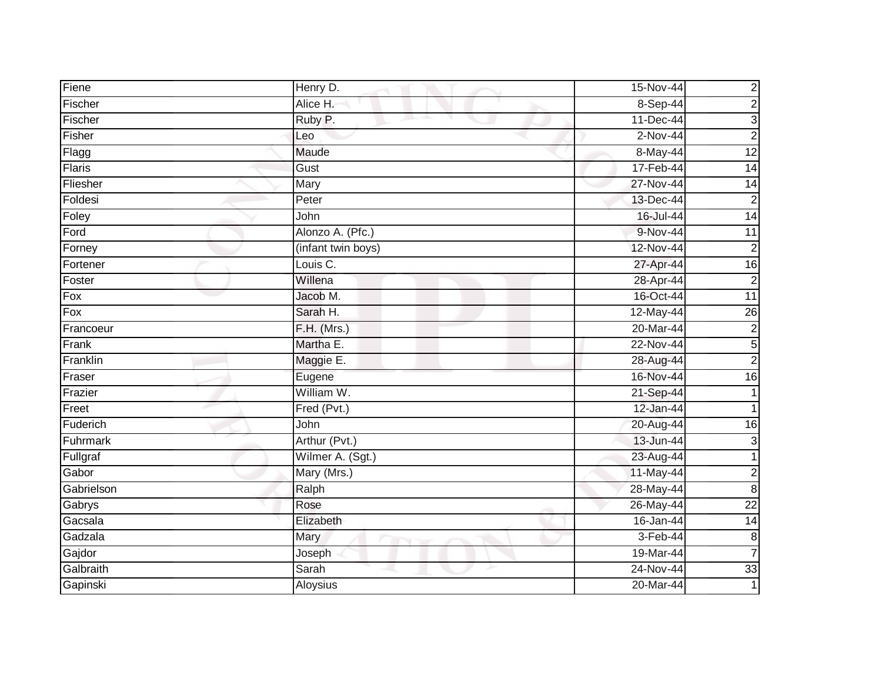| Fiene      | Henry D.           | 15-Nov-44  | $\overline{c}$   |
|------------|--------------------|------------|------------------|
| Fischer    | Alice H.           | 8-Sep-44   | $\overline{c}$   |
| Fischer    | Ruby P.            | 11-Dec-44  | 3                |
| Fisher     | Leo                | 2-Nov-44   | $\overline{c}$   |
| Flagg      | Maude              | 8-May-44   | 12               |
| Flaris     | Gust               | 17-Feb-44  | 14               |
| Fliesher   | Mary               | 27-Nov-44  | $\overline{14}$  |
| Foldesi    | Peter              | 13-Dec-44  | $\overline{2}$   |
| Foley      | John               | 16-Jul-44  | 14               |
| Ford       | Alonzo A. (Pfc.)   | 9-Nov-44   | 11               |
| Forney     | (infant twin boys) | 12-Nov-44  | $\overline{c}$   |
| Fortener   | Louis C.           | 27-Apr-44  | 16               |
| Foster     | Willena            | 28-Apr-44  | $\overline{2}$   |
| Fox        | Jacob M.           | 16-Oct-44  | 11               |
| Fox        | Sarah H.           | 12-May-44  | $\overline{26}$  |
| Francoeur  | F.H. (Mrs.)        | 20-Mar-44  | $\overline{c}$   |
| Frank      | Martha E.          | 22-Nov-44  | 5                |
| Franklin   | Maggie E.          | 28-Aug-44  | $\overline{2}$   |
| Fraser     | Eugene             | 16-Nov-44  | $\overline{16}$  |
| Frazier    | William W.         | 21-Sep-44  |                  |
| Freet      | Fred (Pvt.)        | 12-Jan-44  |                  |
| Fuderich   | John               | 20-Aug-44  | $\overline{16}$  |
| Fuhrmark   | Arthur (Pvt.)      | 13-Jun-44  | 3                |
| Fullgraf   | Wilmer A. (Sgt.)   | 23-Aug-44  | 1                |
| Gabor      | Mary (Mrs.)        | 11-May-44  | $\overline{c}$   |
| Gabrielson | Ralph              | 28-May-44  | $\bf 8$          |
| Gabrys     | Rose               | 26-May-44  | $\overline{22}$  |
| Gacsala    | Elizabeth          | 16-Jan-44  | $\overline{14}$  |
| Gadzala    | Mary               | $3-Feb-44$ | $\boldsymbol{8}$ |
| Gajdor     | Joseph             | 19-Mar-44  | 7                |
| Galbraith  | Sarah              | 24-Nov-44  | 33               |
| Gapinski   | Aloysius           | 20-Mar-44  |                  |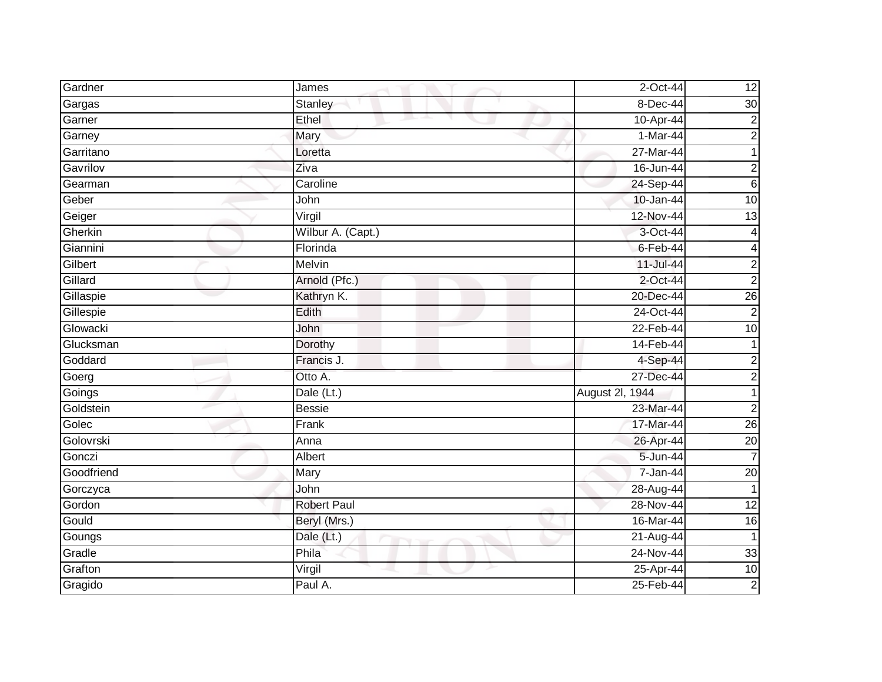| Gardner    | James              | 2-Oct-44        | 12              |
|------------|--------------------|-----------------|-----------------|
| Gargas     | Stanley            | 8-Dec-44        | $\overline{30}$ |
| Garner     | Ethel              | 10-Apr-44       | $\overline{2}$  |
| Garney     | Mary               | $1-Mar-44$      | $\overline{c}$  |
| Garritano  | Loretta            | 27-Mar-44       |                 |
| Gavrilov   | Ziva               | $16 - Jun-44$   | $\overline{c}$  |
| Gearman    | Caroline           | 24-Sep-44       | $\sigma$        |
| Geber      | John               | 10-Jan-44       | 10              |
| Geiger     | Virgil             | 12-Nov-44       | $\overline{13}$ |
| Gherkin    | Wilbur A. (Capt.)  | 3-Oct-44        | 4               |
| Giannini   | Florinda           | $6 - Feb - 44$  | 4               |
| Gilbert    | Melvin             | 11-Jul-44       | $\overline{c}$  |
| Gillard    | Arnold (Pfc.)      | 2-Oct-44        | $\overline{2}$  |
| Gillaspie  | Kathryn K.         | 20-Dec-44       | $\overline{26}$ |
| Gillespie  | Edith              | 24-Oct-44       | $\overline{2}$  |
| Glowacki   | John               | 22-Feb-44       | 10              |
| Glucksman  | Dorothy            | 14-Feb-44       |                 |
| Goddard    | Francis J.         | 4-Sep-44        | $\overline{c}$  |
| Goerg      | Otto A.            | 27-Dec-44       | $\overline{2}$  |
| Goings     | Dale (Lt.)         | August 2l, 1944 |                 |
| Goldstein  | <b>Bessie</b>      | 23-Mar-44       | $\overline{2}$  |
| Golec      | Frank              | 17-Mar-44       | 26              |
| Golovrski  | Anna               | 26-Apr-44       | $\overline{20}$ |
| Gonczi     | Albert             | 5-Jun-44        | $\overline{7}$  |
| Goodfriend | Mary               | 7-Jan-44        | $\overline{20}$ |
| Gorczyca   | John               | 28-Aug-44       |                 |
| Gordon     | <b>Robert Paul</b> | 28-Nov-44       | 12              |
| Gould      | Beryl (Mrs.)       | 16-Mar-44       | 16              |
| Goungs     | Dale (Lt.)         | 21-Aug-44       | $\mathbf 1$     |
| Gradle     | Phila              | 24-Nov-44       | 33              |
| Grafton    | Virgil             | 25-Apr-44       | 10              |
| Gragido    | Paul A.            | 25-Feb-44       | $\overline{2}$  |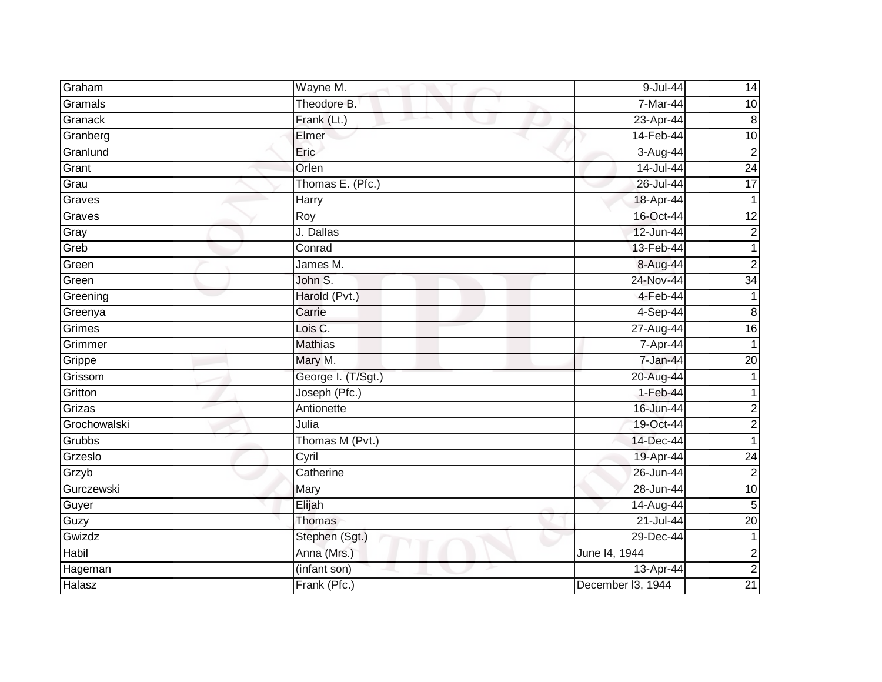| Graham       | Wayne M.           | 9-Jul-44          | 14              |
|--------------|--------------------|-------------------|-----------------|
| Gramals      | Theodore B.        | 7-Mar-44          | 10              |
| Granack      | Frank (Lt.)        | 23-Apr-44         | 8               |
| Granberg     | Elmer              | 14-Feb-44         | 10              |
| Granlund     | Eric               | 3-Aug-44          | $\overline{c}$  |
| Grant        | Orlen              | 14-Jul-44         | $\overline{24}$ |
| Grau         | Thomas E. (Pfc.)   | 26-Jul-44         | $\overline{17}$ |
| Graves       | <b>Harry</b>       | 18-Apr-44         |                 |
| Graves       | Roy                | 16-Oct-44         | 12              |
| Gray         | J. Dallas          | 12-Jun-44         | $\overline{2}$  |
| Greb         | Conrad             | 13-Feb-44         |                 |
| Green        | James M.           | 8-Aug-44          | $\overline{a}$  |
| Green        | John S.            | 24-Nov-44         | $\overline{34}$ |
| Greening     | Harold (Pvt.)      | 4-Feb-44          |                 |
| Greenya      | Carrie             | 4-Sep-44          | 8               |
| Grimes       | Lois C.            | 27-Aug-44         | 16              |
| Grimmer      | <b>Mathias</b>     | 7-Apr-44          |                 |
| Grippe       | Mary M.            | 7-Jan-44          | 20              |
| Grissom      | George I. (T/Sgt.) | 20-Aug-44         |                 |
| Gritton      | Joseph (Pfc.)      | $1-Feb-44$        |                 |
| Grizas       | Antionette         | 16-Jun-44         | 2               |
| Grochowalski | Julia              | 19-Oct-44         | $\overline{c}$  |
| Grubbs       | Thomas M (Pvt.)    | 14-Dec-44         |                 |
| Grzeslo      | Cyril              | 19-Apr-44         | $\overline{24}$ |
| Grzyb        | Catherine          | 26-Jun-44         | $\overline{2}$  |
| Gurczewski   | Mary               | 28-Jun-44         | $\overline{10}$ |
| Guyer        | Elijah             | 14-Aug-44         | 5               |
| Guzy         | <b>Thomas</b>      | 21-Jul-44         | $\overline{20}$ |
| Gwizdz       | Stephen (Sgt.)     | 29-Dec-44         |                 |
| Habil        | Anna (Mrs.)        | June 14, 1944     | $\overline{c}$  |
| Hageman      | (infant son)       | 13-Apr-44         | $\overline{2}$  |
| Halasz       | Frank (Pfc.)       | December I3, 1944 | $\overline{21}$ |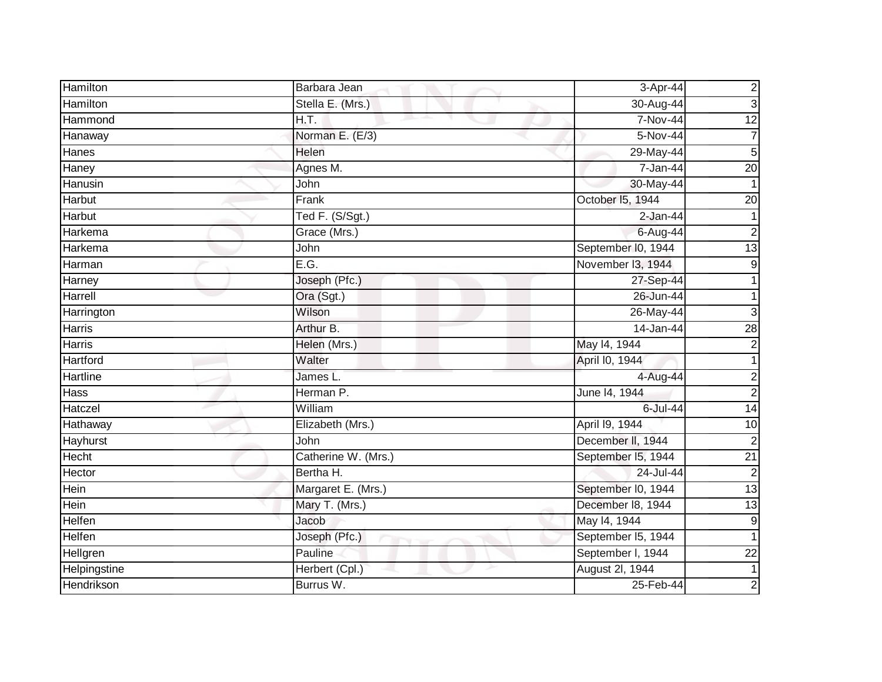| Hamilton      | Barbara Jean            | 3-Apr-44           | $\overline{c}$  |
|---------------|-------------------------|--------------------|-----------------|
| Hamilton      | Stella E. (Mrs.)        | 30-Aug-44          | $\mathbf{3}$    |
| Hammond       | H.T.<br>and the project | 7-Nov-44           | $\overline{12}$ |
| Hanaway       | Norman E. (E/3)         | 5-Nov-44           | $\overline{7}$  |
| Hanes         | Helen                   | 29-May-44          | 5               |
| Haney         | Agnes M.                | 7-Jan-44           | 20              |
| Hanusin       | John                    | 30-May-44          |                 |
| Harbut        | Frank                   | October 15, 1944   | 20              |
| Harbut        | Ted F. (S/Sgt.)         | $2-Jan-44$         |                 |
| Harkema       | Grace (Mrs.)            | 6-Aug-44           | $\overline{2}$  |
| Harkema       | John                    | September I0, 1944 | $\overline{13}$ |
| Harman        | E.G.                    | November 13, 1944  | 9               |
| Harney        | Joseph (Pfc.)           | 27-Sep-44          |                 |
| Harrell       | Ora (Sgt.)              | 26-Jun-44          |                 |
| Harrington    | Wilson                  | 26-May-44          | 3               |
| Harris        | Arthur B.               | 14-Jan-44          | $\overline{28}$ |
| <b>Harris</b> | Helen (Mrs.)            | May 14, 1944       | $\overline{2}$  |
| Hartford      | Walter                  | April I0, 1944     |                 |
| Hartline      | James L.                | 4-Aug-44           | $\overline{c}$  |
| <b>Hass</b>   | Herman P.               | June 14, 1944      | $\overline{2}$  |
| Hatczel       | William                 | 6-Jul-44           | $\overline{14}$ |
| Hathaway      | Elizabeth (Mrs.)        | April 19, 1944     | 10              |
| Hayhurst      | John                    | December II, 1944  | $\overline{2}$  |
| Hecht         | Catherine W. (Mrs.)     | September I5, 1944 | $\overline{21}$ |
| Hector        | Bertha H.               | 24-Jul-44          | $\overline{2}$  |
| Hein          | Margaret E. (Mrs.)      | September I0, 1944 | 13              |
| Hein          | Mary T. (Mrs.)          | December 18, 1944  | $\overline{13}$ |
| Helfen        | Jacob                   | May 14, 1944       | 9               |
| Helfen        | Joseph (Pfc.)           | September I5, 1944 |                 |
| Hellgren      | Pauline                 | September I, 1944  | $\overline{22}$ |
| Helpingstine  | Herbert (Cpl.)          | August 2I, 1944    | 1               |
| Hendrikson    | Burrus W.               | 25-Feb-44          | $\overline{a}$  |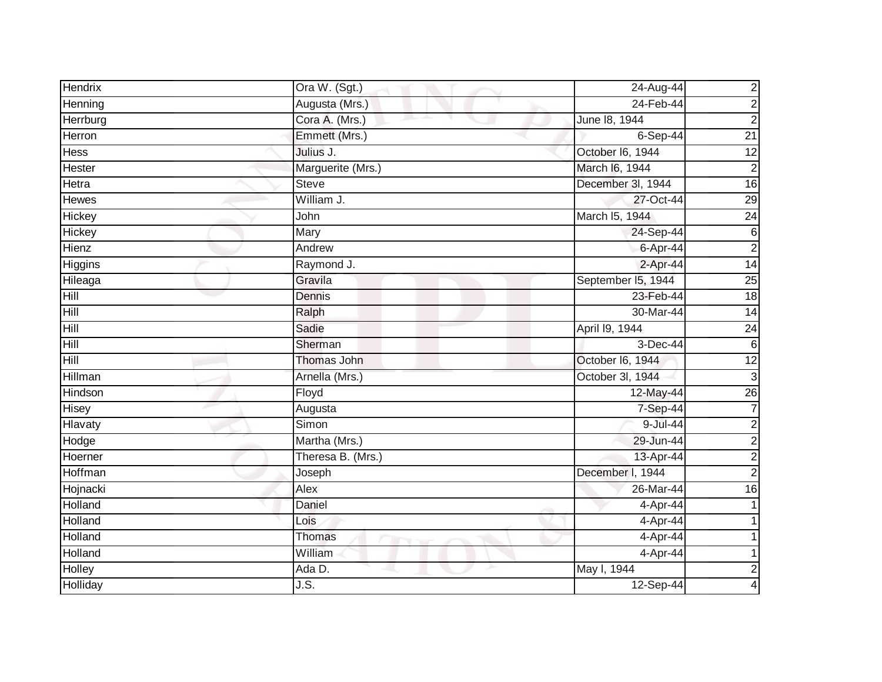| <b>Hendrix</b> | Ora W. (Sgt.)     | 24-Aug-44          | $\overline{\mathbf{c}}$ |
|----------------|-------------------|--------------------|-------------------------|
| Henning        | Augusta (Mrs.)    | 24-Feb-44          | $\overline{2}$          |
| Herrburg       | Cora A. (Mrs.)    | June 18, 1944      | $\mathbf 2$             |
| Herron         | Emmett (Mrs.)     | $6-Sep-44$         | $\overline{21}$         |
| <b>Hess</b>    | Julius J.         | October 16, 1944   | 12                      |
| Hester         | Marguerite (Mrs.) | March I6, 1944     | $\boldsymbol{2}$        |
| Hetra          | <b>Steve</b>      | December 3I, 1944  | $\overline{16}$         |
| Hewes          | William J.        | 27-Oct-44          | 29                      |
| Hickey         | John              | March I5, 1944     | $\overline{24}$         |
| Hickey         | Mary              | 24-Sep-44          | $\,6$                   |
| Hienz          | Andrew            | 6-Apr-44           | $\mathbf 2$             |
| Higgins        | Raymond J.        | $2-Apr-44$         | 14                      |
| Hileaga        | Gravila           | September I5, 1944 | $\overline{25}$         |
| Hill           | Dennis            | 23-Feb-44          | 18                      |
| Hill           | Ralph             | 30-Mar-44          | 14                      |
| Hill           | Sadie             | April 19, 1944     | $\overline{24}$         |
| Hill           | Sherman           | 3-Dec-44           | 6                       |
| Hill           | Thomas John       | October I6, 1944   | 12                      |
| Hillman        | Arnella (Mrs.)    | October 3I, 1944   | 3                       |
| Hindson        | Floyd             | 12-May-44          | 26                      |
| Hisey          | Augusta           | 7-Sep-44           | 7                       |
| Hlavaty        | Simon             | $9$ -Jul-44        | $\mathbf 2$             |
| Hodge          | Martha (Mrs.)     | 29-Jun-44          | $\overline{c}$          |
| Hoerner        | Theresa B. (Mrs.) | 13-Apr-44          | $\overline{\mathbf{c}}$ |
| Hoffman        | Joseph            | December I, 1944   | $\overline{2}$          |
| Hojnacki       | Alex              | 26-Mar-44          | 16                      |
| Holland        | <b>Daniel</b>     | 4-Apr-44           |                         |
| Holland        | Lois              | 4-Apr-44           |                         |
| Holland        | Thomas            | 4-Apr-44           |                         |
| Holland        | William           | 4-Apr-44           |                         |
| Holley         | Ada D.            | May I, 1944        | $\boldsymbol{2}$        |
| Holliday       | J.S.              | $12-Sep-44$        | 4                       |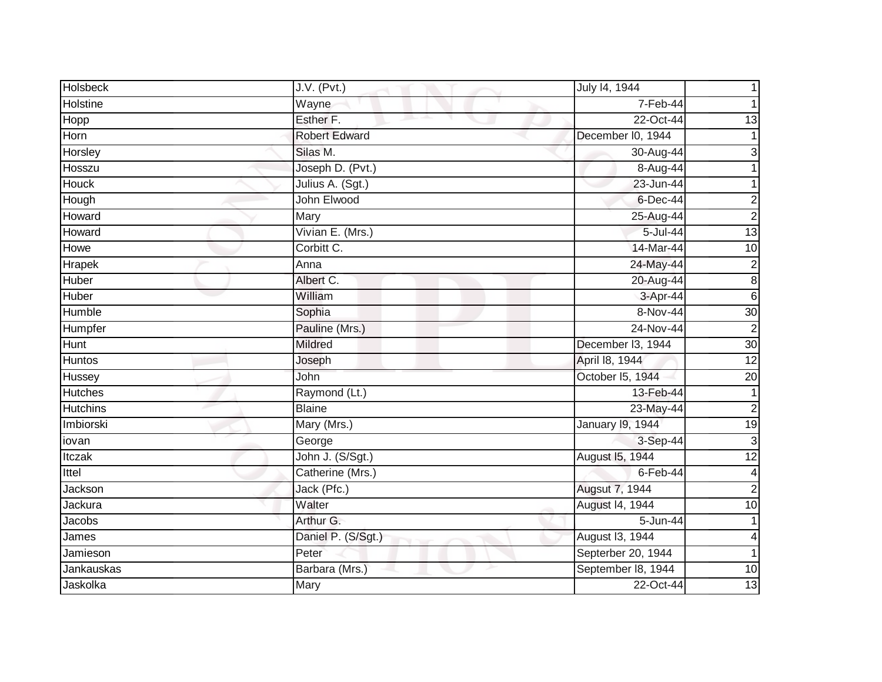| <b>Holsbeck</b> | J.V. (Pvt.)        | July 14, 1944      |                  |
|-----------------|--------------------|--------------------|------------------|
| Holstine        | Wayne              | 7-Feb-44           |                  |
| Hopp            | Esther F.          | 22-Oct-44          | 13               |
| Horn            | Robert Edward      | December I0, 1944  |                  |
| Horsley         | Silas M.           | 30-Aug-44          | 3                |
| Hosszu          | Joseph D. (Pvt.)   | 8-Aug-44           |                  |
| Houck           | Julius A. (Sgt.)   | 23-Jun-44          |                  |
| Hough           | John Elwood        | $6$ -Dec-44        | $\overline{c}$   |
| Howard          | Mary               | 25-Aug-44          | $\overline{c}$   |
| Howard          | Vivian E. (Mrs.)   | 5-Jul-44           | 13               |
| Howe            | Corbitt C.         | 14-Mar-44          | 10               |
| Hrapek          | Anna               | 24-May-44          | $\boldsymbol{2}$ |
| Huber           | Albert C.          | 20-Aug-44          | $\infty$         |
| Huber           | William            | 3-Apr-44           | $6\phantom{.}6$  |
| Humble          | Sophia             | 8-Nov-44           | 30               |
| Humpfer         | Pauline (Mrs.)     | 24-Nov-44          | $\overline{2}$   |
| <b>Hunt</b>     | <b>Mildred</b>     | December I3, 1944  | 30               |
| <b>Huntos</b>   | Joseph             | April 18, 1944     | $\overline{12}$  |
| Hussey          | John               | October 15, 1944   | $\overline{20}$  |
| <b>Hutches</b>  | Raymond (Lt.)      | 13-Feb-44          |                  |
| <b>Hutchins</b> | <b>Blaine</b>      | 23-May-44          | $\overline{2}$   |
| Imbiorski       | Mary (Mrs.)        | January 19, 1944   | 19               |
| iovan           | George             | 3-Sep-44           | $\mathbf{3}$     |
| Itczak          | John J. (S/Sgt.)   | August 15, 1944    | $\overline{12}$  |
| Ittel           | Catherine (Mrs.)   | 6-Feb-44           | $\overline{4}$   |
| Jackson         | Jack (Pfc.)        | Augsut 7, 1944     | $\overline{2}$   |
| Jackura         | Walter             | August 14, 1944    | 10               |
| Jacobs          | Arthur G.          | 5-Jun-44           |                  |
| James           | Daniel P. (S/Sgt.) | August I3, 1944    | 4                |
| Jamieson        | Peter              | Septerber 20, 1944 | 1                |
| Jankauskas      | Barbara (Mrs.)     | September 18, 1944 | 10               |
| Jaskolka        | Mary               | 22-Oct-44          | 13               |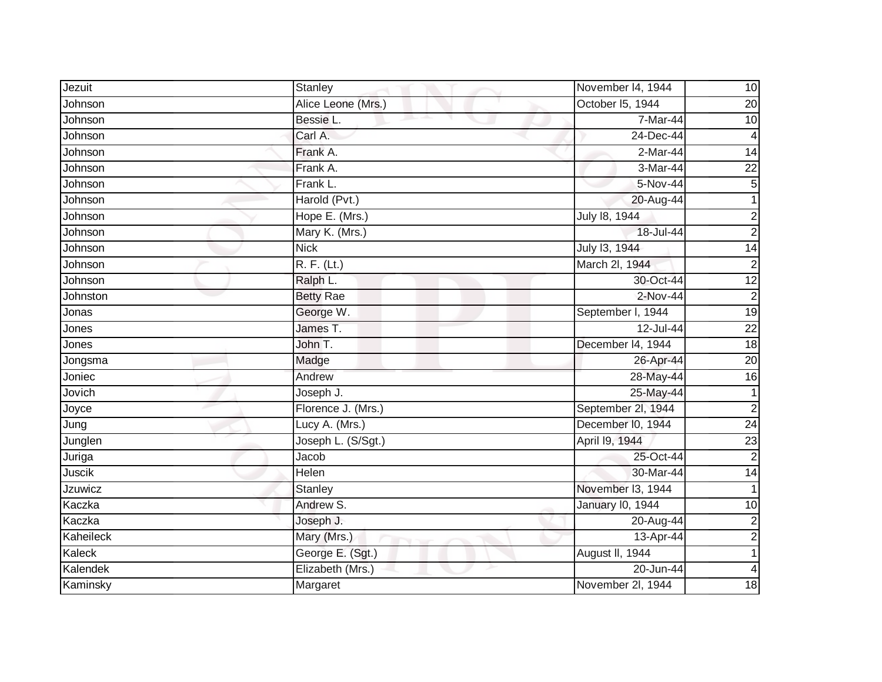| Jezuit         | Stanley            | November 14, 1944       | 10              |
|----------------|--------------------|-------------------------|-----------------|
| Johnson        | Alice Leone (Mrs.) | October 15, 1944        | 20              |
| Johnson        | Bessie L.          | 7-Mar-44                | $\overline{10}$ |
| Johnson        | Carl A.            | 24-Dec-44               | $\overline{4}$  |
| Johnson        | Frank A.           | $2-Mar-44$              | $\overline{14}$ |
| Johnson        | Frank A.           | 3-Mar-44                | $\overline{22}$ |
| Johnson        | Frank L.           | 5-Nov-44                | $\overline{5}$  |
| Johnson        | Harold (Pvt.)      | 20-Aug-44               |                 |
| Johnson        | Hope E. (Mrs.)     | July 18, 1944           | $\overline{2}$  |
| Johnson        | Mary K. (Mrs.)     | 18-Jul-44               | $\overline{2}$  |
| Johnson        | <b>Nick</b>        | July 13, 1944           | $\overline{14}$ |
| Johnson        | R. F. (Lt.)        | March 2I, 1944          | $\overline{2}$  |
| Johnson        | Ralph L.           | 30-Oct-44               | 12              |
| Johnston       | <b>Betty Rae</b>   | $2-Nov-44$              | $\overline{2}$  |
| Jonas          | George W.          | September I, 1944       | $\overline{19}$ |
| Jones          | James T.           | 12-Jul-44               | $\overline{22}$ |
| Jones          | John T.            | December I4, 1944       | $\overline{18}$ |
| Jongsma        | Madge              | 26-Apr-44               | 20              |
| Joniec         | Andrew             | 28-May-44               | 16              |
| Jovich         | Joseph J.          | 25-May-44               |                 |
| Joyce          | Florence J. (Mrs.) | September 2l, 1944      | $\overline{c}$  |
| Jung           | Lucy A. (Mrs.)     | December I0, 1944       | $\overline{24}$ |
| Junglen        | Joseph L. (S/Sgt.) | April 19, 1944          | $\overline{23}$ |
| Juriga         | Jacob              | 25-Oct-44               | $\overline{2}$  |
| Juscik         | Helen              | 30-Mar-44               | $\overline{14}$ |
| <b>Jzuwicz</b> | Stanley            | November 13, 1944       |                 |
| Kaczka         | Andrew S.          | <b>January 10, 1944</b> | $\overline{10}$ |
| Kaczka         | Joseph J.          | 20-Aug-44               | $\overline{2}$  |
| Kaheileck      | Mary (Mrs.)        | 13-Apr-44               | $\overline{a}$  |
| Kaleck         | George E. (Sgt.)   | August II, 1944         |                 |
| Kalendek       | Elizabeth (Mrs.)   | 20-Jun-44               | 4               |
| Kaminsky       | Margaret           | November 2I, 1944       | 18              |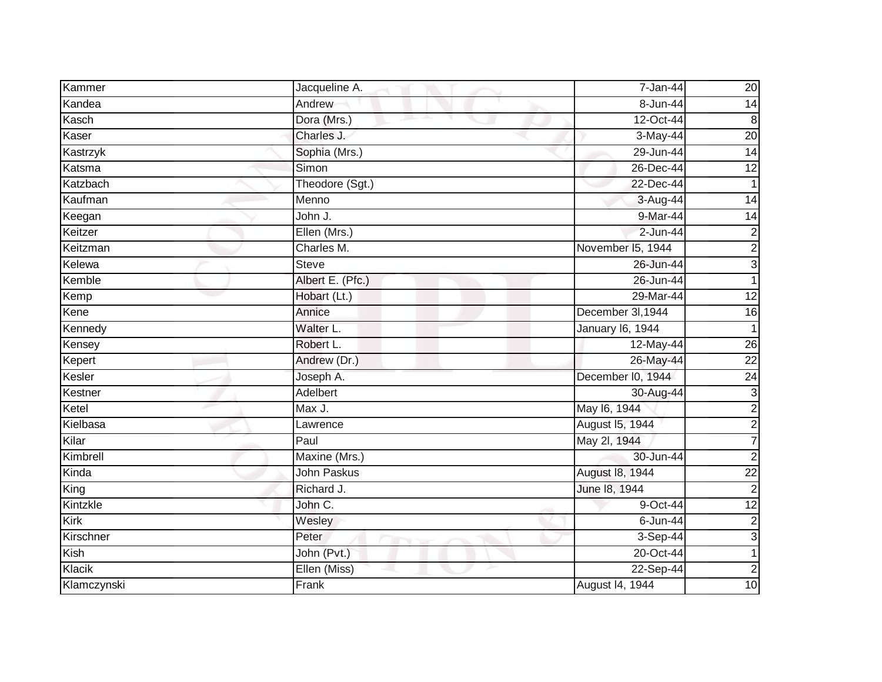| Kammer      | Jacqueline A.      | 7-Jan-44          | 20              |
|-------------|--------------------|-------------------|-----------------|
| Kandea      | Andrew             | 8-Jun-44          | 14              |
| Kasch       | Dora (Mrs.)        | 12-Oct-44         | 8               |
| Kaser       | Charles J.         | 3-May-44          | $\overline{20}$ |
| Kastrzyk    | Sophia (Mrs.)      | 29-Jun-44         | 14              |
| Katsma      | Simon              | $26$ -Dec-44      | 12              |
| Katzbach    | Theodore (Sgt.)    | 22-Dec-44         | $\overline{1}$  |
| Kaufman     | Menno              | 3-Aug-44          | 14              |
| Keegan      | John J.            | 9-Mar-44          | 14              |
| Keitzer     | Ellen (Mrs.)       | 2-Jun-44          | $\overline{c}$  |
| Keitzman    | Charles M.         | November I5, 1944 | $\overline{c}$  |
| Kelewa      | Steve              | 26-Jun-44         | $\overline{3}$  |
| Kemble      | Albert E. (Pfc.)   | 26-Jun-44         | $\mathbf{1}$    |
| Kemp        | Hobart (Lt.)       | 29-Mar-44         | $\overline{12}$ |
| Kene        | Annice             | December 3I, 1944 | 16              |
| Kennedy     | Walter L.          | January 16, 1944  | $\mathbf 1$     |
| Kensey      | Robert L.          | 12-May-44         | 26              |
| Kepert      | Andrew (Dr.)       | 26-May-44         | $\overline{22}$ |
| Kesler      | Joseph A.          | December I0, 1944 | $\overline{24}$ |
| Kestner     | Adelbert           | 30-Aug-44         | 3               |
| Ketel       | Max J.             | May 16, 1944      | $\overline{c}$  |
| Kielbasa    | Lawrence           | August 15, 1944   | $\overline{c}$  |
| Kilar       | Paul               | May 2l, 1944      | 7               |
| Kimbrell    | Maxine (Mrs.)      | 30-Jun-44         | $\overline{c}$  |
| Kinda       | <b>John Paskus</b> | August 18, 1944   | $\overline{22}$ |
| King        | Richard J.         | June 18, 1944     | $\overline{2}$  |
| Kintzkle    | John C.            | 9-Oct-44          | $\overline{12}$ |
| Kirk        | Wesley             | 6-Jun-44          | $\overline{c}$  |
| Kirschner   | Peter              | 3-Sep-44          | 3               |
| Kish        | John (Pvt.)        | 20-Oct-44         | 1               |
| Klacik      | Ellen (Miss)       | 22-Sep-44         | $\overline{c}$  |
| Klamczynski | Frank              | August 14, 1944   | 10              |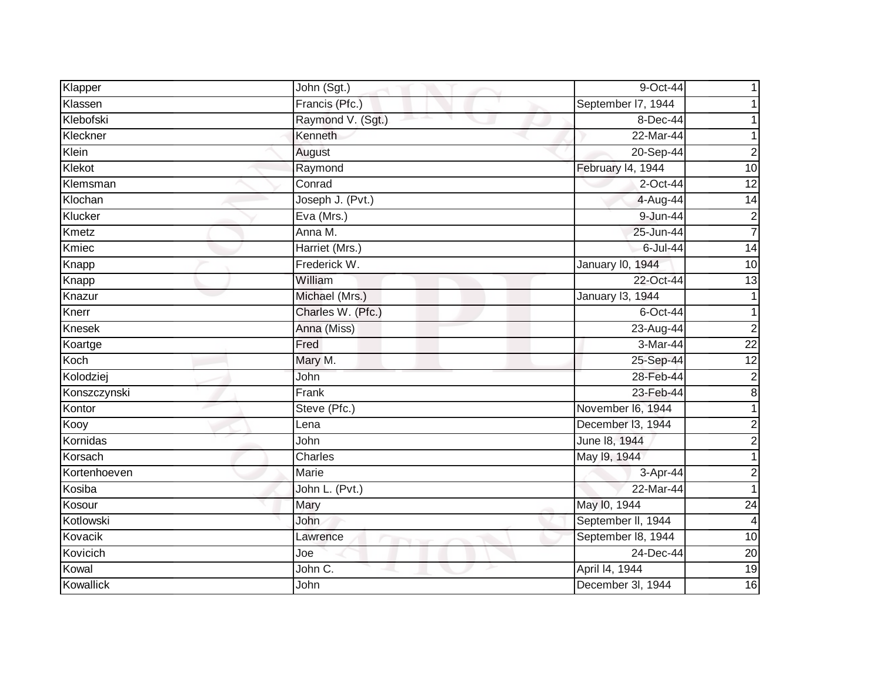| Klapper      | John (Sgt.)       | 9-Oct-44           |                 |
|--------------|-------------------|--------------------|-----------------|
| Klassen      | Francis (Pfc.)    | September 17, 1944 |                 |
| Klebofski    | Raymond V. (Sgt.) | 8-Dec-44           |                 |
| Kleckner     | Kenneth           | 22-Mar-44          |                 |
| Klein        | August            | 20-Sep-44          | $\overline{2}$  |
| Klekot       | Raymond           | February I4, 1944  | 10              |
| Klemsman     | Conrad            | 2-Oct-44           | $\overline{12}$ |
| Klochan      | Joseph J. (Pvt.)  | 4-Aug-44           | 14              |
| Klucker      | Eva (Mrs.)        | 9-Jun-44           | 2               |
| Kmetz        | Anna M.           | 25-Jun-44          | $\overline{7}$  |
| Kmiec        | Harriet (Mrs.)    | 6-Jul-44           | 14              |
| Knapp        | Frederick W.      | January 10, 1944   | 10              |
| Knapp        | William           | 22-Oct-44          | $\overline{13}$ |
| Knazur       | Michael (Mrs.)    | January 13, 1944   |                 |
| Knerr        | Charles W. (Pfc.) | $6$ -Oct-44        |                 |
| Knesek       | Anna (Miss)       | 23-Aug-44          | $\overline{2}$  |
| Koartge      | Fred              | 3-Mar-44           | $\overline{22}$ |
| Koch         | Mary M.           | 25-Sep-44          | 12              |
| Kolodziej    | John              | 28-Feb-44          | $\overline{c}$  |
| Konszczynski | Frank             | 23-Feb-44          | 8               |
| Kontor       | Steve (Pfc.)      | November I6, 1944  |                 |
| Kooy         | Lena              | December 13, 1944  | $\overline{c}$  |
| Kornidas     | John              | June 18, 1944      | $\overline{2}$  |
| Korsach      | Charles           | May 19, 1944       |                 |
| Kortenhoeven | Marie             | 3-Apr-44           | $\overline{2}$  |
| Kosiba       | John L. (Pvt.)    | 22-Mar-44          |                 |
| Kosour       | Mary              | May 10, 1944       | 24              |
| Kotlowski    | <b>John</b>       | September II, 1944 | 4               |
| Kovacik      | Lawrence          | September 18, 1944 | $\overline{10}$ |
| Kovicich     | Joe               | 24-Dec-44          | 20              |
| Kowal        | John C.           | April 14, 1944     | $\overline{19}$ |
| Kowallick    | John              | December 3l, 1944  | 16              |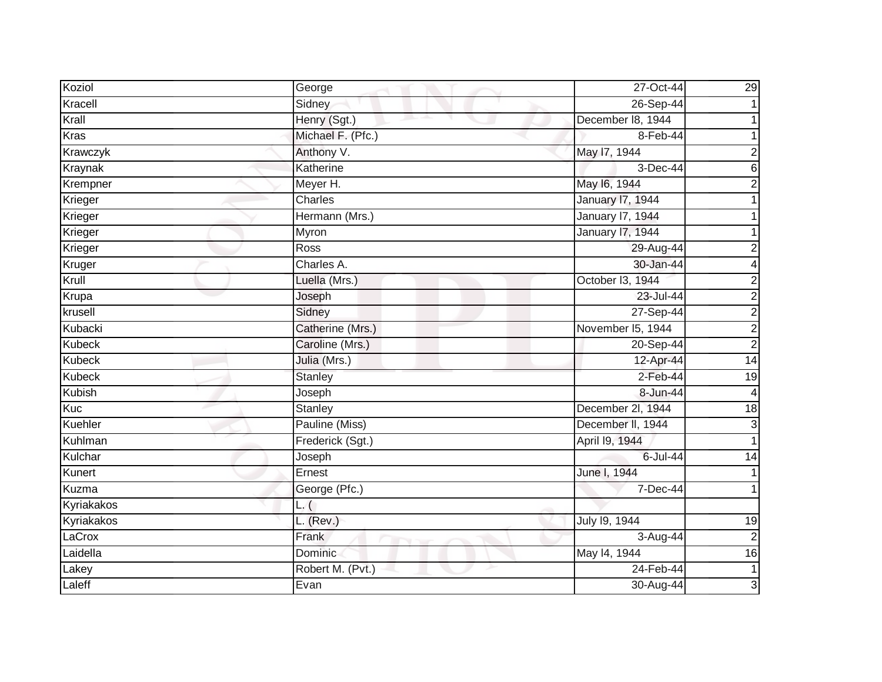| Koziol        | George            | 27-Oct-44               | 29              |
|---------------|-------------------|-------------------------|-----------------|
| Kracell       | Sidney            | 26-Sep-44               |                 |
| Krall         | Henry (Sgt.)      | December 18, 1944       |                 |
| Kras          | Michael F. (Pfc.) | 8-Feb-44                |                 |
| Krawczyk      | Anthony V.        | May 17, 1944            | $\overline{2}$  |
| Kraynak       | Katherine         | 3-Dec-44                | 6               |
| Krempner      | Meyer H.          | May 16, 1944            | $\overline{2}$  |
| Krieger       | Charles           | <b>January 17, 1944</b> |                 |
| Krieger       | Hermann (Mrs.)    | <b>January 17, 1944</b> |                 |
| Krieger       | Myron             | <b>January 17, 1944</b> |                 |
| Krieger       | Ross              | 29-Aug-44               | $\overline{c}$  |
| Kruger        | Charles A.        | 30-Jan-44               | 4               |
| Krull         | Luella (Mrs.)     | October 13, 1944        | $\overline{2}$  |
| Krupa         | Joseph            | 23-Jul-44               | $\overline{2}$  |
| krusell       | Sidney            | 27-Sep-44               | $\overline{2}$  |
| Kubacki       | Catherine (Mrs.)  | November I5, 1944       | $\overline{2}$  |
| <b>Kubeck</b> | Caroline (Mrs.)   | 20-Sep-44               | $\overline{2}$  |
| <b>Kubeck</b> | Julia (Mrs.)      | 12-Apr-44               | $\overline{14}$ |
| <b>Kubeck</b> | <b>Stanley</b>    | $2$ -Feb-44             | $\overline{19}$ |
| <b>Kubish</b> | Joseph            | 8-Jun-44                | $\overline{4}$  |
| Kuc           | Stanley           | December 2l, 1944       | 18              |
| Kuehler       | Pauline (Miss)    | December II, 1944       | $\overline{3}$  |
| Kuhlman       | Frederick (Sgt.)  | April 19, 1944          |                 |
| Kulchar       | Joseph            | 6-Jul-44                | 14              |
| Kunert        | Ernest            | June I, 1944            |                 |
| Kuzma         | George (Pfc.)     | 7-Dec-44                |                 |
| Kyriakakos    | L. (              |                         |                 |
| Kyriakakos    | $L.$ (Rev.)       | July 19, 1944           | 19              |
| LaCrox        | Frank             | 3-Aug-44                | $\overline{c}$  |
| Laidella      | Dominic           | May 14, 1944            | 16              |
| Lakey         | Robert M. (Pvt.)  | 24-Feb-44               | $\mathbf{1}$    |
| Laleff        | Evan              | 30-Aug-44               | $\overline{3}$  |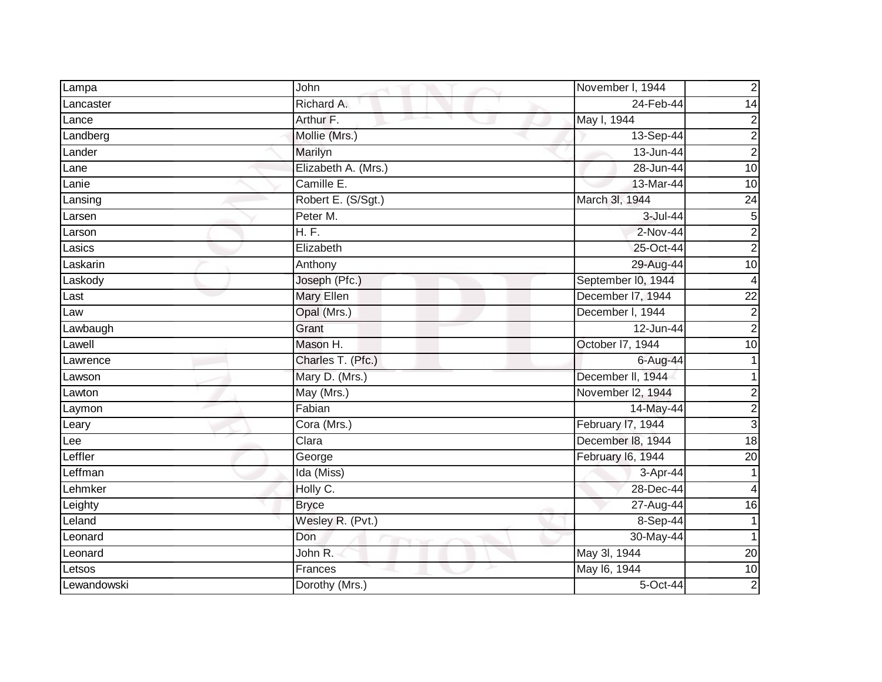| Lampa       | John                | November I, 1944   | $\mathbf 2$             |
|-------------|---------------------|--------------------|-------------------------|
| Lancaster   | Richard A.          | 24-Feb-44          | 14                      |
| Lance       | Arthur F.           | May I, 1944        | 2                       |
| Landberg    | Mollie (Mrs.)       | 13-Sep-44          | $\overline{2}$          |
| Lander      | Marilyn             | 13-Jun-44          | $\overline{2}$          |
| Lane        | Elizabeth A. (Mrs.) | 28-Jun-44          | 10                      |
| Lanie       | Camille E.          | 13-Mar-44          | 10                      |
| Lansing     | Robert E. (S/Sgt.)  | March 3I, 1944     | 24                      |
| Larsen      | Peter M.            | 3-Jul-44           | $\mathbf 5$             |
| Larson      | H. F.               | 2-Nov-44           | $\overline{2}$          |
| Lasics      | Elizabeth           | 25-Oct-44          | $\overline{c}$          |
| Laskarin    | Anthony             | 29-Aug-44          | 10                      |
| Laskody     | Joseph (Pfc.)       | September I0, 1944 | 4                       |
| Last        | Mary Ellen          | December I7, 1944  | $\overline{22}$         |
| Law         | Opal (Mrs.)         | December I, 1944   | $\mathbf 2$             |
| Lawbaugh    | Grant               | 12-Jun-44          | $\overline{2}$          |
| Lawell      | Mason H.            | October I7, 1944   | 10                      |
| Lawrence    | Charles T. (Pfc.)   | 6-Aug-44           |                         |
| Lawson      | Mary D. (Mrs.)      | December II, 1944  |                         |
| Lawton      | May (Mrs.)          | November I2, 1944  | $\overline{c}$          |
| Laymon      | Fabian              | 14-May-44          | $\overline{\mathbf{c}}$ |
| Leary       | Cora (Mrs.)         | February I7, 1944  | $\overline{3}$          |
| Lee         | Clara               | December 18, 1944  | $\frac{1}{8}$           |
| Leffler     | George              | February I6, 1944  | 20                      |
| Leffman     | Ida (Miss)          | 3-Apr-44           | 1                       |
| Lehmker     | Holly C.            | 28-Dec-44          | 4                       |
| Leighty     | <b>Bryce</b>        | 27-Aug-44          | 16                      |
| Leland      | Wesley R. (Pvt.)    | 8-Sep-44           | 1                       |
| Leonard     | Don                 | 30-May-44          | 1                       |
| Leonard     | John R.             | May 3l, 1944       | 20                      |
| Letsos      | Frances             | May 16, 1944       | 10                      |
| Lewandowski | Dorothy (Mrs.)      | 5-Oct-44           | $\overline{2}$          |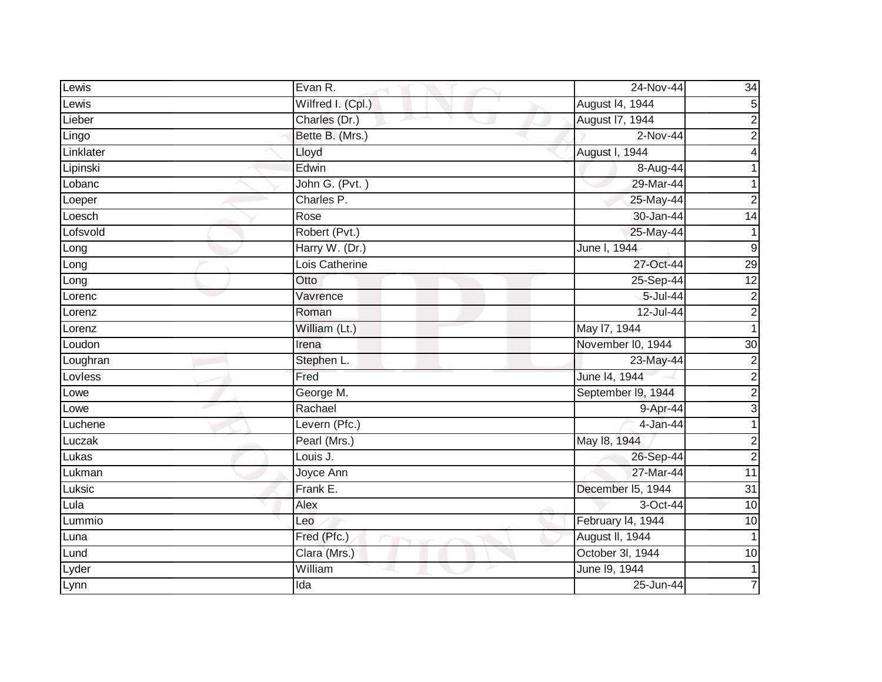| Lewis     | Evan R.           | 24-Nov-44          | $\overline{34}$         |
|-----------|-------------------|--------------------|-------------------------|
| Lewis     | Wilfred I. (Cpl.) | August 14, 1944    | 5                       |
| Lieber    | Charles (Dr.)     | August 17, 1944    | $\overline{2}$          |
| Lingo     | Bette B. (Mrs.)   | 2-Nov-44           | $\overline{\mathbf{c}}$ |
| Linklater | Lloyd             | August I, 1944     | $\overline{4}$          |
| Lipinski  | Edwin             | 8-Aug-44           |                         |
| Lobanc    | John G. (Pvt.)    | 29-Mar-44          | 1                       |
| Loeper    | Charles P.        | 25-May-44          | $\overline{c}$          |
| Loesch    | Rose              | 30-Jan-44          | $\overline{14}$         |
| Lofsvold  | Robert (Pvt.)     | 25-May-44          | $\mathbf{1}$            |
| Long      | Harry W. (Dr.)    | June I, 1944       | $\boldsymbol{9}$        |
| Long      | Lois Catherine    | 27-Oct-44          | 29                      |
| Long      | Otto              | 25-Sep-44          | 12                      |
| Lorenc    | Vavrence          | $5 -$ Jul $-44$    | $\boldsymbol{2}$        |
| Lorenz    | Roman             | 12-Jul-44          | $\overline{2}$          |
| Lorenz    | William (Lt.)     | May 17, 1944       | 1                       |
| Loudon    | Irena             | November I0, 1944  | 30                      |
| Loughran  | Stephen L.        | 23-May-44          | $\overline{2}$          |
| Lovless   | Fred              | June 14, 1944      | $\frac{2}{2}$           |
| Lowe      | George M.         | September 19, 1944 |                         |
| Lowe      | Rachael           | 9-Apr-44           | $\overline{3}$          |
| Luchene   | Levern (Pfc.)     | 4-Jan-44           | $\mathbf{1}$            |
| Luczak    | Pearl (Mrs.)      | May 18, 1944       | $\overline{2}$          |
| Lukas     | Louis J.          | 26-Sep-44          | $\overline{2}$          |
| Lukman    | Joyce Ann         | 27-Mar-44          | 11                      |
| Luksic    | Frank E.          | December I5, 1944  | 31                      |
| Lula      | Alex              | 3-Oct-44           | 10                      |
| Lummio    | Leo               | February I4, 1944  | 10                      |
| Luna      | Fred (Pfc.)       | August II, 1944    |                         |
| Lund      | Clara (Mrs.)      | October 3l, 1944   | 10                      |
| Lyder     | William           | June 19, 1944      | $\mathbf{1}$            |
| Lynn      | Ida               | 25-Jun-44          |                         |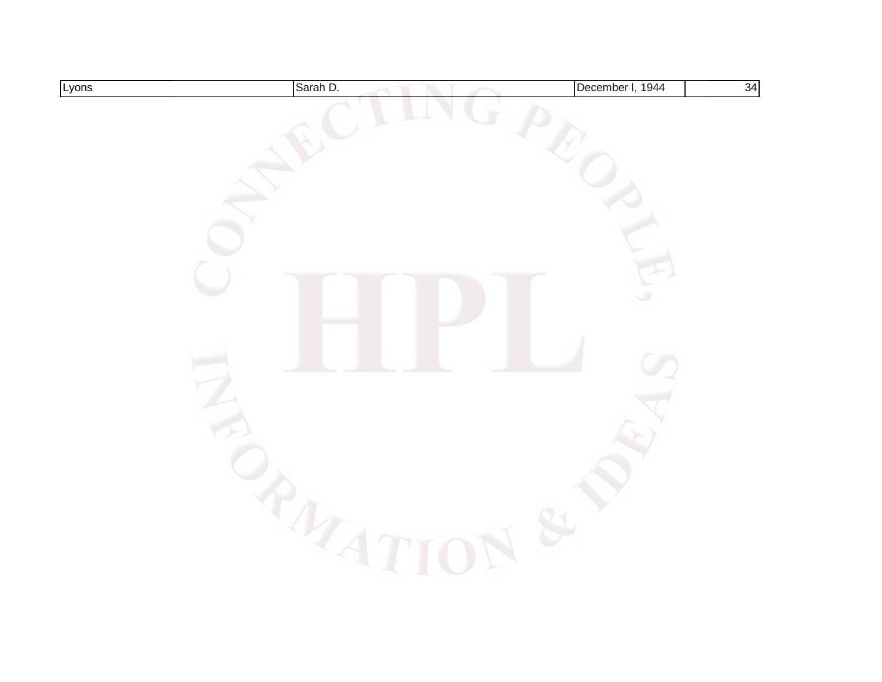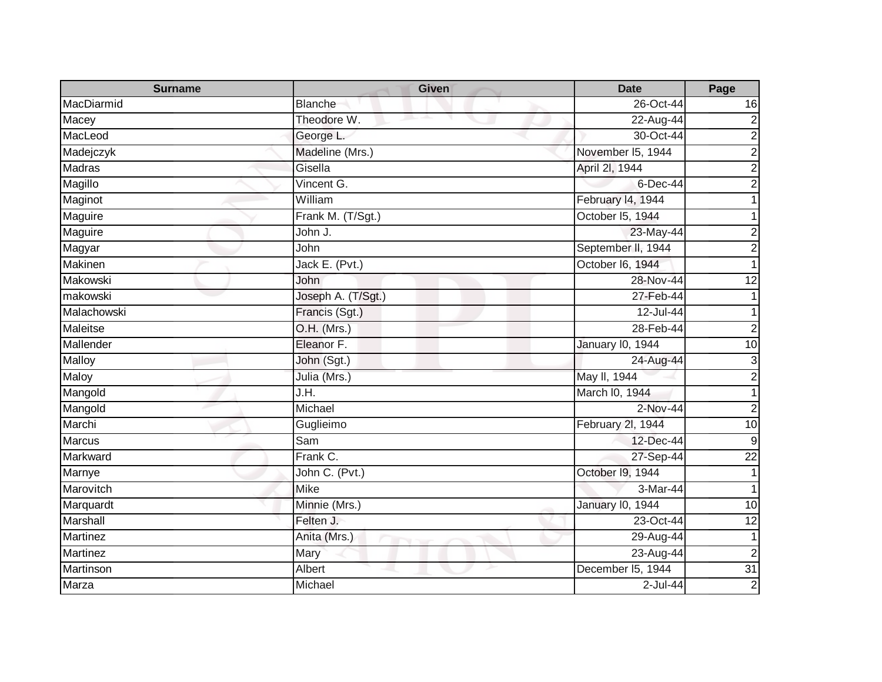| <b>Surname</b>  | <b>Given</b>       | <b>Date</b>             | Page                    |
|-----------------|--------------------|-------------------------|-------------------------|
| MacDiarmid      | <b>Blanche</b>     | 26-Oct-44               | 16                      |
| Macey           | Theodore W.        | 22-Aug-44               | $\overline{\mathbf{c}}$ |
| MacLeod         | George L.          | 30-Oct-44               | $\overline{2}$          |
| Madejczyk       | Madeline (Mrs.)    | November 15, 1944       | $\overline{2}$          |
| Madras          | Gisella            | April 2I, 1944          | $\mathbf 2$             |
| Magillo         | Vincent G.         | 6-Dec-44                | $\overline{2}$          |
| Maginot         | William            | February 14, 1944       |                         |
| Maguire         | Frank M. (T/Sgt.)  | October I5, 1944        |                         |
| Maguire         | John J.            | 23-May-44               | $\overline{2}$          |
| Magyar          | John               | September II, 1944      | $\overline{c}$          |
| Makinen         | Jack E. (Pvt.)     | October I6, 1944        |                         |
| Makowski        | John               | 28-Nov-44               | 12                      |
| makowski        | Joseph A. (T/Sgt.) | 27-Feb-44               |                         |
| Malachowski     | Francis (Sgt.)     | 12-Jul-44               |                         |
| Maleitse        | O.H. (Mrs.)        | 28-Feb-44               | $\overline{2}$          |
| Mallender       | Eleanor F.         | January 10, 1944        | 10                      |
| Malloy          | John (Sgt.)        | 24-Aug-44               | 3                       |
| Maloy           | Julia (Mrs.)       | May II, 1944            | $\overline{2}$          |
| Mangold         | J.H.               | March I0, 1944          |                         |
| Mangold         | Michael            | 2-Nov-44                | $\overline{2}$          |
| Marchi          | Guglieimo          | February 2l, 1944       | 10                      |
| <b>Marcus</b>   | Sam                | 12-Dec-44               | $\boldsymbol{9}$        |
| Markward        | Frank C.           | 27-Sep-44               | $\overline{22}$         |
| Marnye          | John C. (Pvt.)     | October I9, 1944        | 1                       |
| Marovitch       | <b>Mike</b>        | 3-Mar-44                |                         |
| Marquardt       | Minnie (Mrs.)      | <b>January I0, 1944</b> | 10                      |
| Marshall        | Felten J.          | 23-Oct-44               | 12                      |
| Martinez        | Anita (Mrs.)       | 29-Aug-44               | 1                       |
| <b>Martinez</b> | Mary               | 23-Aug-44               | $\overline{2}$          |
| Martinson       | Albert             | December I5, 1944       | 31                      |
| Marza           | Michael            | $2$ -Jul-44             | $\overline{2}$          |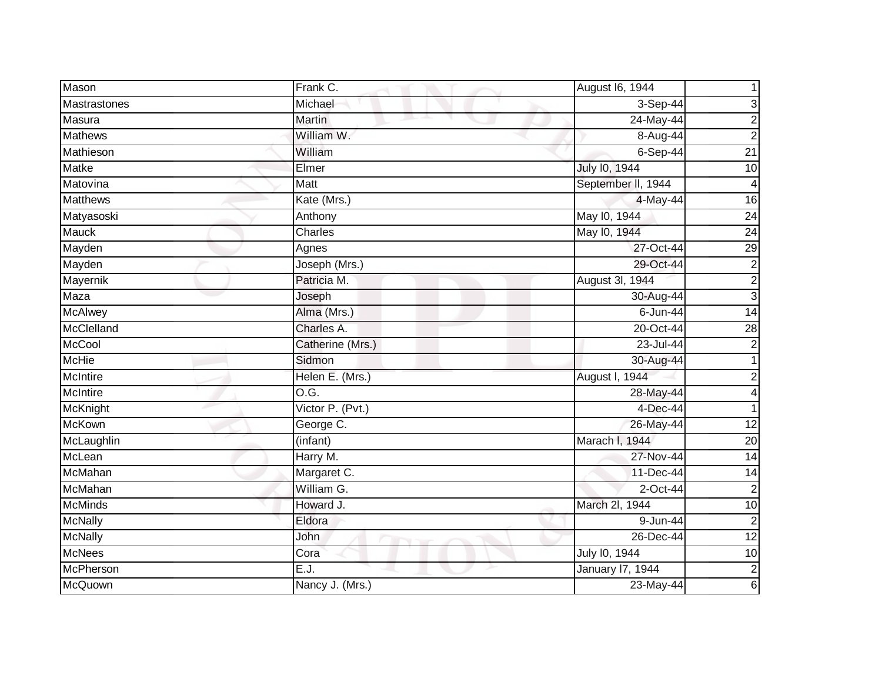| Mason           | Frank C.         | August 16, 1944    |                         |
|-----------------|------------------|--------------------|-------------------------|
| Mastrastones    | Michael          | 3-Sep-44           | 3                       |
| Masura          | <b>Martin</b>    | 24-May-44          | 2                       |
| <b>Mathews</b>  | William W.       | 8-Aug-44           | $\overline{2}$          |
| Mathieson       | William          | $6-Sep-44$         | $\overline{21}$         |
| <b>Matke</b>    | Elmer            | July 10, 1944      | 10                      |
| Matovina        | Matt             | September II, 1944 | 4                       |
| <b>Matthews</b> | Kate (Mrs.)      | 4-May-44           | 16                      |
| Matyasoski      | Anthony          | May 10, 1944       | $\overline{24}$         |
| <b>Mauck</b>    | Charles          | May 10, 1944       | 24                      |
| Mayden          | Agnes            | 27-Oct-44          | $\overline{29}$         |
| Mayden          | Joseph (Mrs.)    | 29-Oct-44          | $\overline{\mathbf{c}}$ |
| Mayernik        | Patricia M.      | August 3I, 1944    | $\overline{2}$          |
| Maza            | Joseph           | 30-Aug-44          | 3                       |
| <b>McAlwey</b>  | Alma (Mrs.)      | $6$ -Jun-44        | $\overline{14}$         |
| McClelland      | Charles A.       | 20-Oct-44          | $\overline{28}$         |
| <b>McCool</b>   | Catherine (Mrs.) | 23-Jul-44          | $\overline{2}$          |
| <b>McHie</b>    | Sidmon           | 30-Aug-44          | 1                       |
| McIntire        | Helen E. (Mrs.)  | August I, 1944     | $\overline{2}$          |
| <b>McIntire</b> | O.G.             | 28-May-44          | 4                       |
| McKnight        | Victor P. (Pvt.) | 4-Dec-44           | 1                       |
| <b>McKown</b>   | George C.        | 26-May-44          | 12                      |
| McLaughlin      | (infant)         | Marach I,<br>1944  | $\overline{20}$         |
| McLean          | Harry M.         | 27-Nov-44          | 14                      |
| McMahan         | Margaret C.      | 11-Dec-44          | 14                      |
| McMahan         | William G.       | 2-Oct-44           | $\overline{2}$          |
| <b>McMinds</b>  | Howard J.        | March 2l, 1944     | $\overline{10}$         |
| <b>McNally</b>  | Eldora           | 9-Jun-44           | $\overline{2}$          |
| <b>McNally</b>  | John             | 26-Dec-44          | 12                      |
| <b>McNees</b>   | Cora             | July 10, 1944      | 10                      |
| McPherson       | E.J.             | January 17, 1944   | $\overline{2}$          |
| McQuown         | Nancy J. (Mrs.)  | 23-May-44          | 6                       |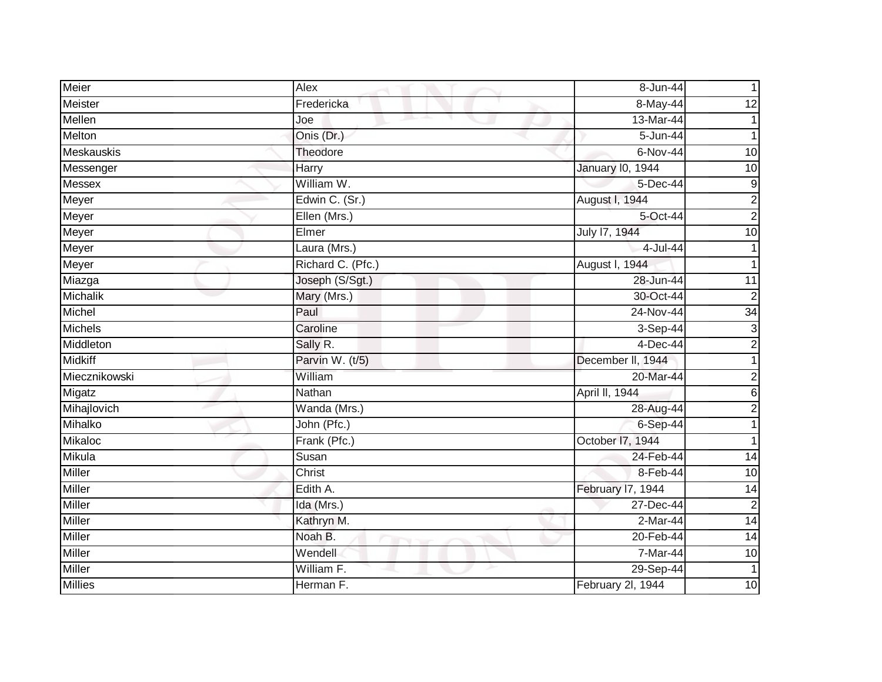| Meier             | Alex                          | 8-Jun-44                | 1               |
|-------------------|-------------------------------|-------------------------|-----------------|
| Meister           | Fredericka                    | 8-May-44                | $\overline{12}$ |
| Mellen            | 一本<br>Joe                     | 13-Mar-44               |                 |
| Melton            | Onis (Dr.)                    | 5-Jun-44                |                 |
| <b>Meskauskis</b> | Theodore                      | 6-Nov-44                | 10              |
| Messenger         | Harry                         | <b>January 10, 1944</b> | 10              |
| Messex            | William W.                    | 5-Dec-44                | $\overline{9}$  |
| Meyer             | Edwin C. (Sr.)                | August I, 1944          | $\overline{2}$  |
| Meyer             | Ellen (Mrs.)                  | 5-Oct-44                | $\overline{2}$  |
| Meyer             | Elmer                         | July 17, 1944           | 10              |
| Meyer             | Laura (Mrs.)                  | 4-Jul-44                |                 |
| Meyer             | Richard C. (Pfc.)             | August I, 1944          |                 |
| Miazga            | Joseph (S/Sgt.)               | 28-Jun-44               | 11              |
| Michalik          | Mary (Mrs.)                   | 30-Oct-44               | $\overline{c}$  |
| Michel            | Paul                          | 24-Nov-44               | 34              |
| Michels           | Caroline                      | $3-Sep-44$              | $\overline{3}$  |
| Middleton         | Sally R.                      | 4-Dec-44                | $\overline{2}$  |
| <b>Midkiff</b>    | Parvin W. (t/5)               | December II, 1944       | 1               |
| Miecznikowski     | William                       | 20-Mar-44               | $\overline{2}$  |
| Migatz            | Nathan                        | April II, 1944          | $\overline{6}$  |
| Mihajlovich       | Wanda (Mrs.)                  | 28-Aug-44               | $\overline{2}$  |
| Mihalko           | John (Pfc.)                   | $6-Sep-44$              | 1               |
| <b>Mikaloc</b>    | Frank (Pfc.)                  | October 17, 1944        |                 |
| Mikula            | Susan                         | 24-Feb-44               | $\overline{14}$ |
| Miller            | Christ                        | 8-Feb-44                | 10              |
| <b>Miller</b>     | Edith A.                      | February I7, 1944       | 14              |
| <b>Miller</b>     | Ida (Mrs.)                    | 27-Dec-44               | $\overline{c}$  |
| Miller            | Kathryn M.                    | 2-Mar-44                | 14              |
| Miller            | Noah B.<br><b>START START</b> | 20-Feb-44               | 14              |
| Miller            | Wendell                       | 7-Mar-44                | 10              |
| <b>Miller</b>     | William F.                    | 29-Sep-44               |                 |
| <b>Millies</b>    | Herman F.                     | February 2l, 1944       | 10              |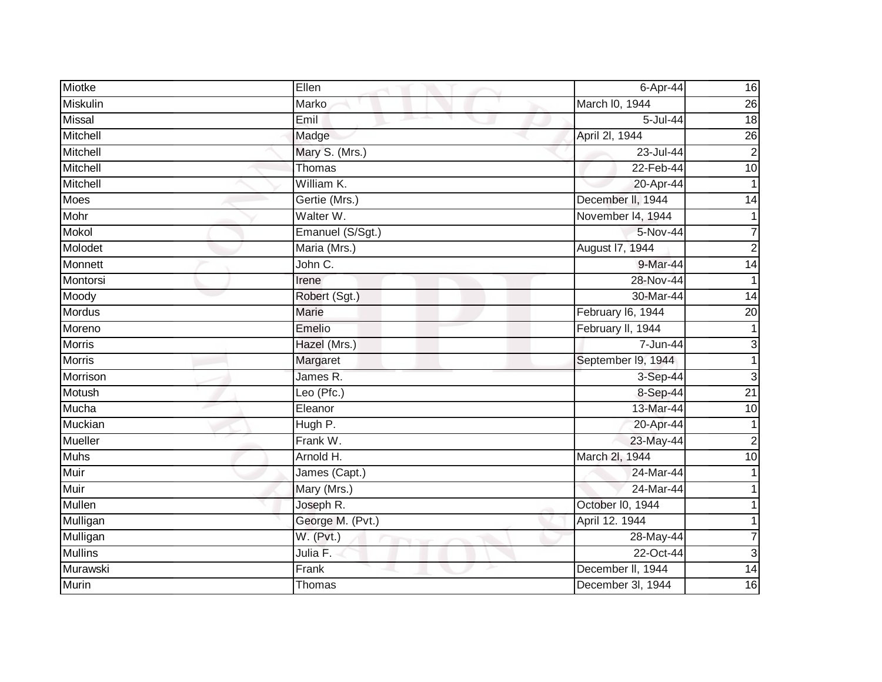| Miotke         | Ellen            | 6-Apr-44           | 16              |
|----------------|------------------|--------------------|-----------------|
| Miskulin       | Marko            | March I0, 1944     | 26              |
| <b>Missal</b>  | Emil             | $5 -$ Jul-44       | $\frac{1}{8}$   |
| Mitchell       | Madge            | April 2I, 1944     | $\overline{26}$ |
| Mitchell       | Mary S. (Mrs.)   | 23-Jul-44          | $\overline{2}$  |
| Mitchell       | Thomas           | 22-Feb-44          | 10              |
| Mitchell       | William K.       | 20-Apr-44          | 1               |
| Moes           | Gertie (Mrs.)    | December II, 1944  | $\overline{14}$ |
| Mohr           | Walter W.        | November 14, 1944  |                 |
| Mokol          | Emanuel (S/Sgt.) | 5-Nov-44           | 7               |
| Molodet        | Maria (Mrs.)     | August 17, 1944    | $\overline{2}$  |
| Monnett        | John C.          | 9-Mar-44           | 14              |
| Montorsi       | Irene            | 28-Nov-44          | 1               |
| Moody          | Robert (Sgt.)    | 30-Mar-44          | 14              |
| <b>Mordus</b>  | <b>Marie</b>     | February I6, 1944  | 20              |
| Moreno         | Emelio           | February II, 1944  | 1               |
| <b>Morris</b>  | Hazel (Mrs.)     | 7-Jun-44           | 3               |
| <b>Morris</b>  | Margaret         | September 19, 1944 | 1               |
| Morrison       | James R.         | 3-Sep-44           | 3               |
| Motush         | Leo (Pfc.)       | 8-Sep-44           | 21              |
| Mucha          | Eleanor          | 13-Mar-44          | 10              |
| <b>Muckian</b> | Hugh P.          | 20-Apr-44          | 1               |
| Mueller        | Frank W.         | 23-May-44          | $\overline{2}$  |
| <b>Muhs</b>    | Arnold H.        | March 2l, 1944     | 10              |
| Muir           | James (Capt.)    | 24-Mar-44          |                 |
| Muir           | Mary (Mrs.)      | $24$ -Mar-44       |                 |
| Mullen         | Joseph R.        | October I0, 1944   |                 |
| Mulligan       | George M. (Pvt.) | April 12. 1944     |                 |
| Mulligan       | W. (Pvt.)        | 28-May-44          |                 |
| <b>Mullins</b> | Julia F.         | 22-Oct-44          | 3               |
| Murawski       | Frank            | December II, 1944  | 14              |
| <b>Murin</b>   | Thomas           | December 3I, 1944  | 16              |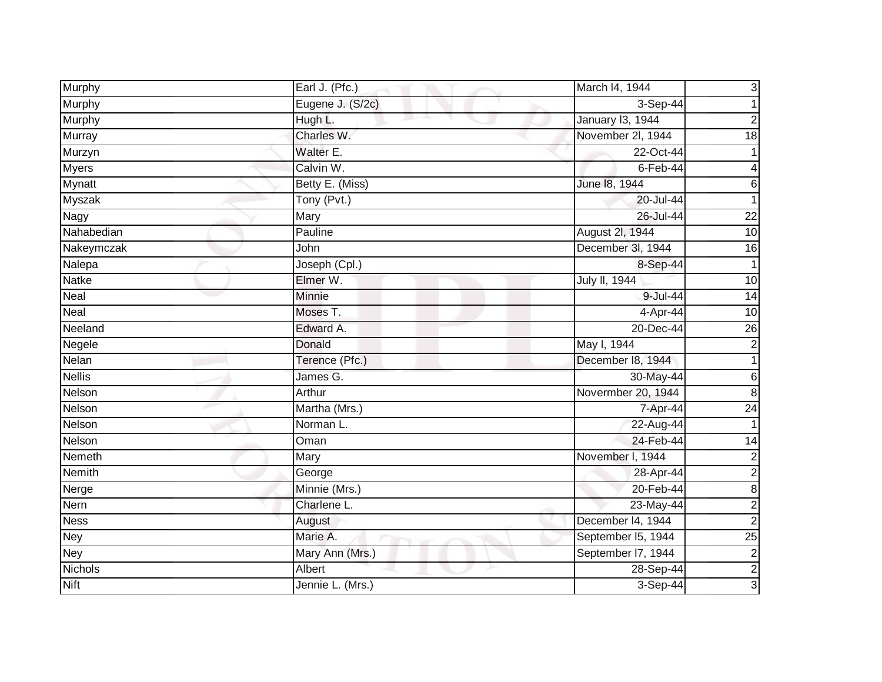| Murphy        | Earl J. (Pfc.)   | March I4, 1944     | 3                       |
|---------------|------------------|--------------------|-------------------------|
| Murphy        | Eugene J. (S/2c) | 3-Sep-44           |                         |
| <b>Murphy</b> | Hugh L.          | January 13, 1944   | 2                       |
| Murray        | Charles W.       | November 2I, 1944  | 18                      |
| Murzyn        | Walter E.        | 22-Oct-44          |                         |
| Myers         | Calvin W.        | $6$ -Feb-44        | 4                       |
| Mynatt        | Betty E. (Miss)  | June 18, 1944      | 6                       |
| <b>Myszak</b> | Tony (Pvt.)      | 20-Jul-44          |                         |
| Nagy          | Mary             | 26-Jul-44          | $\overline{22}$         |
| Nahabedian    | Pauline          | August 2l, 1944    | 10                      |
| Nakeymczak    | John             | December 3I, 1944  | 16                      |
| Nalepa        | Joseph (Cpl.)    | 8-Sep-44           | 1                       |
| <b>Natke</b>  | Elmer W.         | July II, 1944      | 10                      |
| Neal          | Minnie           | 9-Jul-44           | $\overline{14}$         |
| <b>Neal</b>   | Moses T.         | 4-Apr-44           | $\overline{10}$         |
| Neeland       | Edward A.        | 20-Dec-44          | $\overline{26}$         |
| Negele        | Donald           | May I, 1944        | $\overline{2}$          |
| Nelan         | Terence (Pfc.)   | December 18, 1944  | $\mathbf{1}$            |
| <b>Nellis</b> | James G.         | 30-May-44          | $\,$ 6                  |
| Nelson        | Arthur           | Novermber 20, 1944 | $\infty$                |
| Nelson        | Martha (Mrs.)    | 7-Apr-44           | $\overline{24}$         |
| Nelson        | Norman L.        | 22-Aug-44          | 1                       |
| Nelson        | Oman             | 24-Feb-44          | $\overline{14}$         |
| Nemeth        | Mary             | November I, 1944   | $\overline{\mathbf{c}}$ |
| Nemith        | George           | 28-Apr-44          | $\overline{2}$          |
| Nerge         | Minnie (Mrs.)    | 20-Feb-44          | 8                       |
| Nern          | Charlene L.      | 23-May-44          | $\overline{2}$          |
| <b>Ness</b>   | August           | December 14, 1944  | $\mathbf 2$             |
| <b>Ney</b>    | Marie A.         | September I5, 1944 | $\overline{25}$         |
| <b>Ney</b>    | Mary Ann (Mrs.)  | September 17, 1944 | $\boldsymbol{2}$        |
| Nichols       | Albert           | 28-Sep-44          | $\overline{c}$          |
| <b>Nift</b>   | Jennie L. (Mrs.) | 3-Sep-44           | 3                       |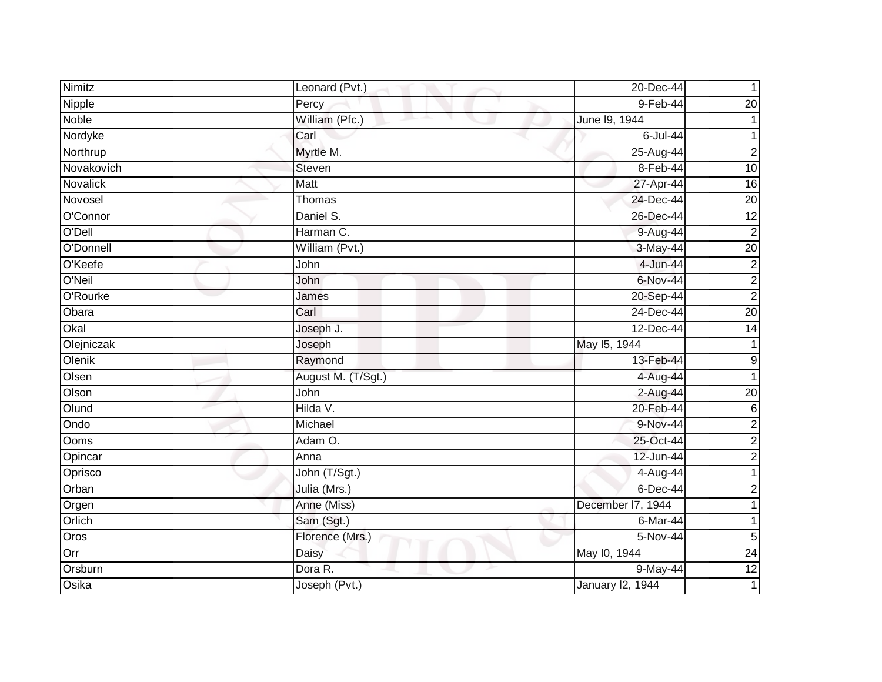| Nimitz          | Leonard (Pvt.)        | 20-Dec-44               |                  |
|-----------------|-----------------------|-------------------------|------------------|
| Nipple          | Percy                 | 9-Feb-44                | 20               |
| <b>Noble</b>    | William (Pfc.)        | June 19, 1944           |                  |
| Nordyke         | Carl                  | 6-Jul-44                |                  |
| Northrup        | Myrtle M.             | 25-Aug-44               | $\overline{2}$   |
| Novakovich      | Steven                | 8-Feb-44                | 10               |
| <b>Novalick</b> | Matt                  | 27-Apr-44               | 16               |
| Novosel         | Thomas                | 24-Dec-44               | 20               |
| O'Connor        | Daniel S.             | 26-Dec-44               | 12               |
| O'Dell          | Harman C.             | 9-Aug-44                | $\overline{2}$   |
| O'Donnell       | William (Pvt.)        | $3-May-44$              | $\overline{20}$  |
| O'Keefe         | John                  | 4-Jun-44                | 2                |
| O'Neil          | John                  | 6-Nov-44                | $\boldsymbol{2}$ |
| O'Rourke        | James                 | 20-Sep-44               | $\overline{2}$   |
| Obara           | Carl                  | 24-Dec-44               | 20               |
| Okal            | Joseph J.             | 12-Dec-44               | 14               |
| Olejniczak      | Joseph                | May 15, 1944            |                  |
| Olenik          | Raymond               | 13-Feb-44               | 9                |
| Olsen           | August M. (T/Sgt.)    | 4-Aug-44                |                  |
| Olson           | John                  | 2-Aug-44                | $\overline{20}$  |
| Olund           | Hilda V.              | 20-Feb-44               | 6                |
| Ondo            | Michael               | 9-Nov-44                | $\mathbf 2$      |
| Ooms            | Adam $\overline{O}$ . | 25-Oct-44               | $\overline{c}$   |
| Opincar         | Anna                  | 12-Jun-44               | $\overline{2}$   |
| Oprisco         | John (T/Sgt.)         | 4-Aug-44                | 1                |
| Orban           | Julia (Mrs.)          | $6$ -Dec-44             | 2                |
| Orgen           | Anne (Miss)           | December I7, 1944       |                  |
| Orlich          | Sam (Sgt.)            | 6-Mar-44                |                  |
| Oros            | Florence (Mrs.)       | 5-Nov-44                | 5                |
| Orr             | Daisy                 | May 10, 1944            | $\overline{24}$  |
| Orsburn         | Dora R.               | 9-May-44                | $\overline{12}$  |
| Osika           | Joseph (Pvt.)         | <b>January 12, 1944</b> | $\mathbf{1}$     |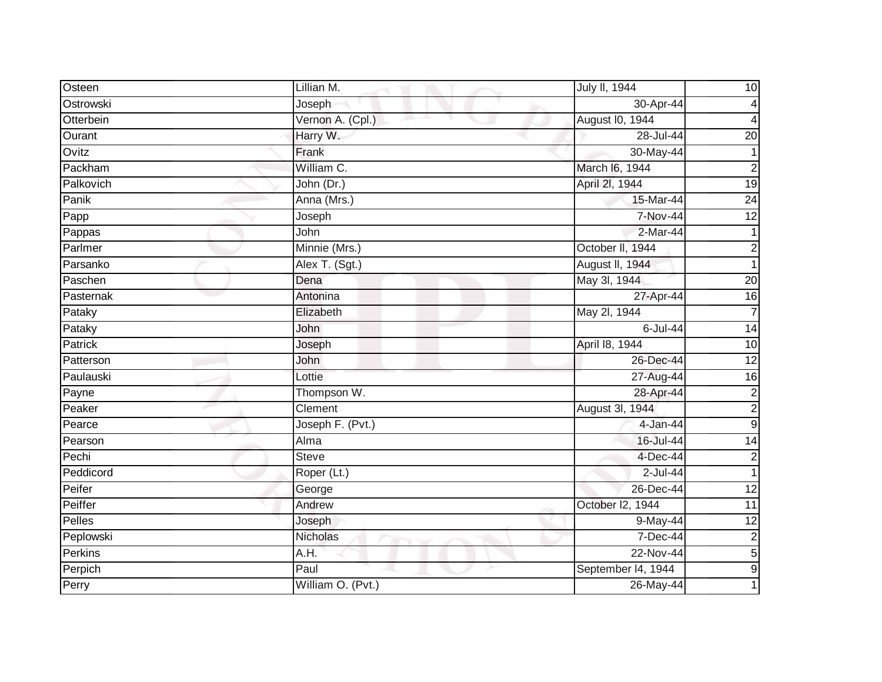| Osteen         | Lillian M.                     | July II, 1944          | 10               |
|----------------|--------------------------------|------------------------|------------------|
| Ostrowski      | Joseph                         | 30-Apr-44              | 4                |
| Otterbein      | Vernon A. (Cpl.)               | <b>August I0, 1944</b> | 4                |
| Ourant         | Harry W.                       | 28-Jul-44              | $\overline{20}$  |
| Ovitz          | Frank                          | 30-May-44              | 1                |
| Packham        | William C.                     | March I6, 1944         | $\overline{c}$   |
| Palkovich      | John (Dr.)                     | April 2I, 1944         | 19               |
| Panik          | Anna (Mrs.)                    | 15-Mar-44              | $\overline{24}$  |
| Papp           | Joseph                         | 7-Nov-44               | 12               |
| Pappas         | John                           | $2-Mar-44$             | $\mathbf{1}$     |
| Parlmer        | Minnie (Mrs.)                  | October II, 1944       | $\boldsymbol{2}$ |
| Parsanko       | Alex T. (Sgt.)                 | August II, 1944        | 1                |
| Paschen        | Dena                           | May 3l, 1944           | 20               |
| Pasternak      | Antonina                       | 27-Apr-44              | 16               |
| Pataky         | Elizabeth                      | May 2l, 1944           | $\overline{7}$   |
| Pataky         | John                           | 6-Jul-44               | 14               |
| <b>Patrick</b> | Joseph                         | April 18, 1944         | 10               |
| Patterson      | John                           | 26-Dec-44              | $\overline{12}$  |
| Paulauski      | Lottie                         | 27-Aug-44              | 16               |
| Payne          | Thompson W.                    | 28-Apr-44              | $\overline{2}$   |
| Peaker         | Clement                        | August 3I, 1944        | $\overline{2}$   |
| Pearce         | Joseph F. (Pvt.)               | 4-Jan-44               | $\overline{9}$   |
| Pearson        | Alma                           | 16-Jul-44              | $\overline{14}$  |
| Pechi          | <b>Steve</b>                   | 4-Dec-44               | $\overline{c}$   |
| Peddicord      | Roper (Lt.)                    | $2$ -Jul-44            | $\mathbf 1$      |
| Peifer         | George                         | 26-Dec-44              | 12               |
| Peiffer        | Andrew                         | October I2, 1944       | 11               |
| Pelles         | Joseph                         | 9-May-44               | $\overline{12}$  |
| Peplowski      | <b>Nicholas</b><br><b>TANK</b> | 7-Dec-44               | $\overline{c}$   |
| Perkins        | A.H.                           | 22-Nov-44              | $\overline{5}$   |
| Perpich        | Paul                           | September I4, 1944     | $\overline{9}$   |
| Perry          | William O. (Pvt.)              | 26-May-44              |                  |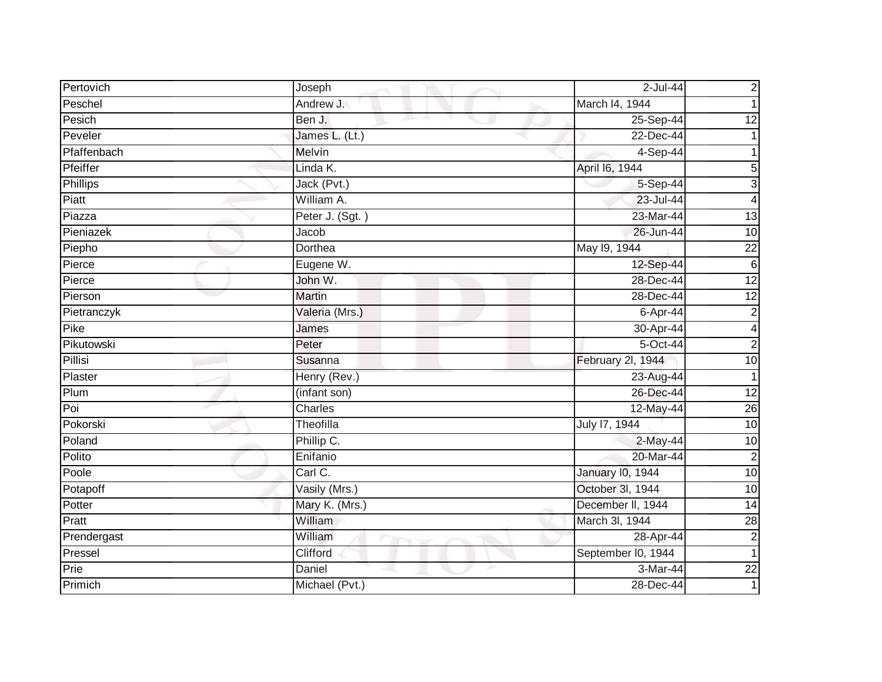| Pertovich   | Joseph          | 2-Jul-44                | $\overline{\mathbf{c}}$ |
|-------------|-----------------|-------------------------|-------------------------|
| Peschel     | Andrew J.       | March I4, 1944          | 1                       |
| Pesich      | Ben J.          | 25-Sep-44               | $\overline{12}$         |
| Peveler     | James L. (Lt.)  | 22-Dec-44               |                         |
| Pfaffenbach | Melvin          | 4-Sep-44                |                         |
| Pfeiffer    | Linda K.        | April 16, 1944          | $\overline{5}$          |
| Phillips    | Jack (Pvt.)     | 5-Sep-44                | $\overline{3}$          |
| $P$ iatt    | William A.      | 23-Jul-44               | $\overline{\mathbf{4}}$ |
| Piazza      | Peter J. (Sgt.) | 23-Mar-44               | 13                      |
| Pieniazek   | Jacob           | 26-Jun-44               | 10                      |
| Piepho      | Dorthea         | May 19, 1944            | $\overline{22}$         |
| Pierce      | Eugene W.       | 12-Sep-44               | $\overline{6}$          |
| Pierce      | John W.         | 28-Dec-44               | $\overline{12}$         |
| Pierson     | <b>Martin</b>   | 28-Dec-44               | 12                      |
| Pietranczyk | Valeria (Mrs.)  | 6-Apr-44                | $\overline{\mathbf{c}}$ |
| Pike        | James           | 30-Apr-44               | $\overline{\mathbf{4}}$ |
| Pikutowski  | Peter           | $5$ -Oct-44             | $\overline{2}$          |
| Pillisi     | Susanna         | February 2l, 1944       | 10                      |
| Plaster     | Henry (Rev.)    | 23-Aug-44               | $\overline{1}$          |
| Plum        | (infant son)    | 26-Dec-44               | 12                      |
| Poi         | Charles         | 12-May-44               | $\overline{26}$         |
| Pokorski    | Theofilla       | July 17, 1944           | $\overline{10}$         |
| Poland      | Phillip C.      | 2-May-44                | 10                      |
| Polito      | Enifanio        | 20-Mar-44               | $\overline{2}$          |
| Poole       | Carl C.         | <b>January 10, 1944</b> | $\overline{10}$         |
| Potapoff    | Vasily (Mrs.)   | October 3l, 1944        | 10                      |
| Potter      | Mary K. (Mrs.)  | December II, 1944       | $\overline{14}$         |
| Pratt       | William         | March 3l, 1944          | $\overline{28}$         |
| Prendergast | William<br>Tur. | 28-Apr-44               | $\boldsymbol{2}$        |
| Pressel     | Clifford        | September I0, 1944      | $\overline{1}$          |
| Prie        | Daniel          | 3-Mar-44                | $\overline{22}$         |
| Primich     | Michael (Pvt.)  | 28-Dec-44               | 1                       |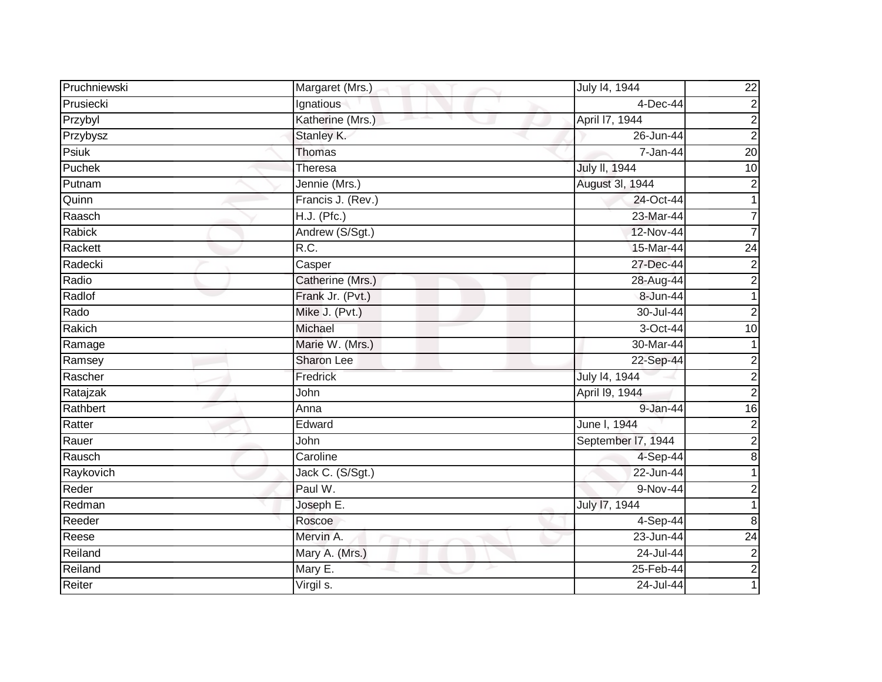| Pruchniewski | Margaret (Mrs.)   | July 14, 1944      | $\overline{22}$           |
|--------------|-------------------|--------------------|---------------------------|
| Prusiecki    | Ignatious         | 4-Dec-44           | $\overline{2}$            |
| Przybyl      | Katherine (Mrs.)  | April 17, 1944     | $\overline{2}$            |
| Przybysz     | Stanley K.        | 26-Jun-44          | $\overline{2}$            |
| Psiuk        | Thomas            | 7-Jan-44           | 20                        |
| Puchek       | Theresa           | July II, 1944      | 10                        |
| Putnam       | Jennie (Mrs.)     | August 3I, 1944    | $\overline{c}$            |
| Quinn        | Francis J. (Rev.) | 24-Oct-44          |                           |
| Raasch       | $H.J.$ (Pfc.)     | 23-Mar-44          | 7                         |
| Rabick       | Andrew (S/Sgt.)   | 12-Nov-44          | $\overline{7}$            |
| Rackett      | R.C.              | 15-Mar-44          | $\overline{24}$           |
| Radecki      | Casper            | 27-Dec-44          | $\overline{c}$            |
| Radio        | Catherine (Mrs.)  | 28-Aug-44          | $\overline{2}$            |
| Radlof       | Frank Jr. (Pvt.)  | 8-Jun-44           | 1                         |
| Rado         | Mike J. (Pvt.)    | 30-Jul-44          | $\mathbf 2$               |
| Rakich       | Michael           | 3-Oct-44           | 10                        |
| Ramage       | Marie W. (Mrs.)   | 30-Mar-44          |                           |
| Ramsey       | Sharon Lee        | 22-Sep-44          | $\mathbf{2}^{\mathsf{I}}$ |
| Rascher      | Fredrick          | July 14, 1944      | $\overline{\mathbf{c}}$   |
| Ratajzak     | John              | April 19, 1944     | $\overline{2}$            |
| Rathbert     | Anna              | 9-Jan-44           | $\overline{16}$           |
| Ratter       | Edward            | June I, 1944       | $\overline{2}$            |
| Rauer        | John              | September I7, 1944 | $\overline{2}$            |
| Rausch       | Caroline          | 4-Sep-44           | $\overline{8}$            |
| Raykovich    | Jack C. (S/Sgt.)  | 22-Jun-44          |                           |
| Reder        | Paul W.           | 9-Nov-44           | 2                         |
| Redman       | Joseph E.         | July 17, 1944      |                           |
| Reeder       | Roscoe            | 4-Sep-44           | 8                         |
| Reese        | Mervin A.         | 23-Jun-44          | $\overline{24}$           |
| Reiland      | Mary A. (Mrs.)    | 24-Jul-44          | $\overline{\mathbf{c}}$   |
| Reiland      | Mary E.           | 25-Feb-44          | $\overline{2}$            |
| Reiter       | Virgil s.         | 24-Jul-44          |                           |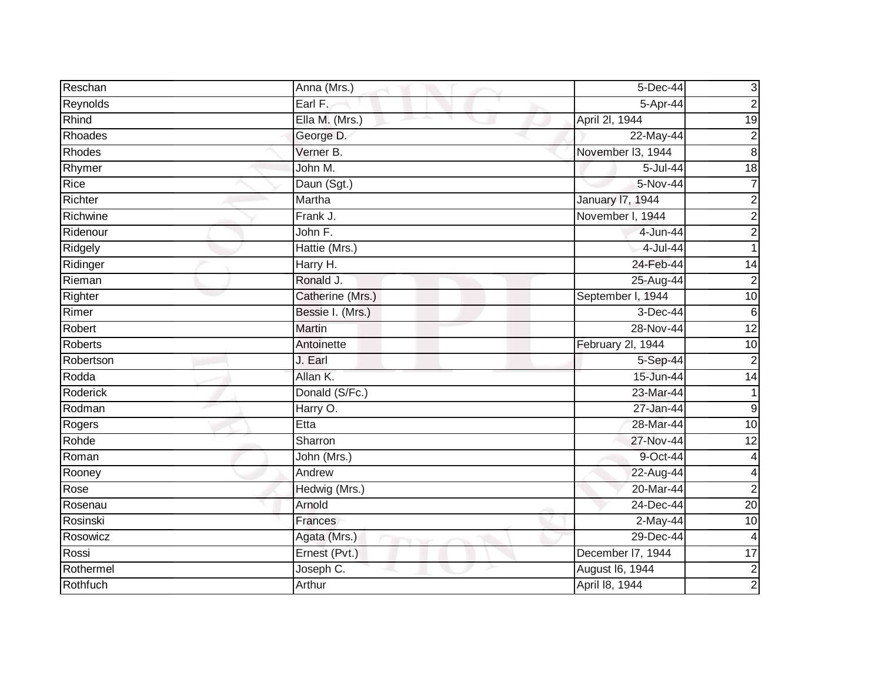| Reschan   | Anna (Mrs.)            | 5-Dec-44          | $\mathbf{3}$            |
|-----------|------------------------|-------------------|-------------------------|
| Reynolds  | Earl F.                | 5-Apr-44          | $\overline{2}$          |
| Rhind     | Ella M. (Mrs.)         | April 2I, 1944    | 19                      |
| Rhoades   | George D.              | 22-May-44         | $\overline{2}$          |
| Rhodes    | Verner B.              | November I3, 1944 | $\overline{8}$          |
| Rhymer    | John M.                | 5-Jul-44          | 18                      |
| Rice      | Daun (Sgt.)            | 5-Nov-44          | $\overline{7}$          |
| Richter   | Martha                 | January 17, 1944  | $\overline{\mathbf{c}}$ |
| Richwine  | $\overline{F}$ rank J. | November I, 1944  | $\overline{2}$          |
| Ridenour  | John F.                | 4-Jun-44          | $\overline{2}$          |
| Ridgely   | Hattie (Mrs.)          | 4-Jul-44          |                         |
| Ridinger  | Harry H.               | 24-Feb-44         | 14                      |
| Rieman    | Ronald J.              | 25-Aug-44         | $\overline{2}$          |
| Righter   | Catherine (Mrs.)       | September I, 1944 | 10                      |
| Rimer     | Bessie I. (Mrs.)       | 3-Dec-44          | $\,6$                   |
| Robert    | <b>Martin</b>          | 28-Nov-44         | 12                      |
| Roberts   | Antoinette             | February 2l, 1944 | 10                      |
| Robertson | J. Earl                | 5-Sep-44          | $\boldsymbol{2}$        |
| Rodda     | Allan K.               | 15-Jun-44         | 14                      |
| Roderick  | Donald (S/Fc.)         | 23-Mar-44         |                         |
| Rodman    | Harry O.               | 27-Jan-44         | $\boldsymbol{9}$        |
| Rogers    | Etta                   | 28-Mar-44         | 10                      |
| Rohde     | Sharron                | 27-Nov-44         | $\overline{12}$         |
| Roman     | John (Mrs.)            | 9-Oct-44          | 4                       |
| Rooney    | Andrew                 | 22-Aug-44         | $\overline{\mathbf{4}}$ |
| Rose      | Hedwig (Mrs.)          | 20-Mar-44         | $\overline{2}$          |
| Rosenau   | Arnold                 | 24-Dec-44         | 20                      |
| Rosinski  | Frances                | 2-May-44          | 10                      |
| Rosowicz  | Agata (Mrs.)           | 29-Dec-44         | $\overline{4}$          |
| Rossi     | Ernest (Pvt.)          | December I7, 1944 | 17                      |
| Rothermel | Joseph C.              | August 16, 1944   | $\overline{2}$          |
| Rothfuch  | Arthur                 | April 18, 1944    | $\overline{2}$          |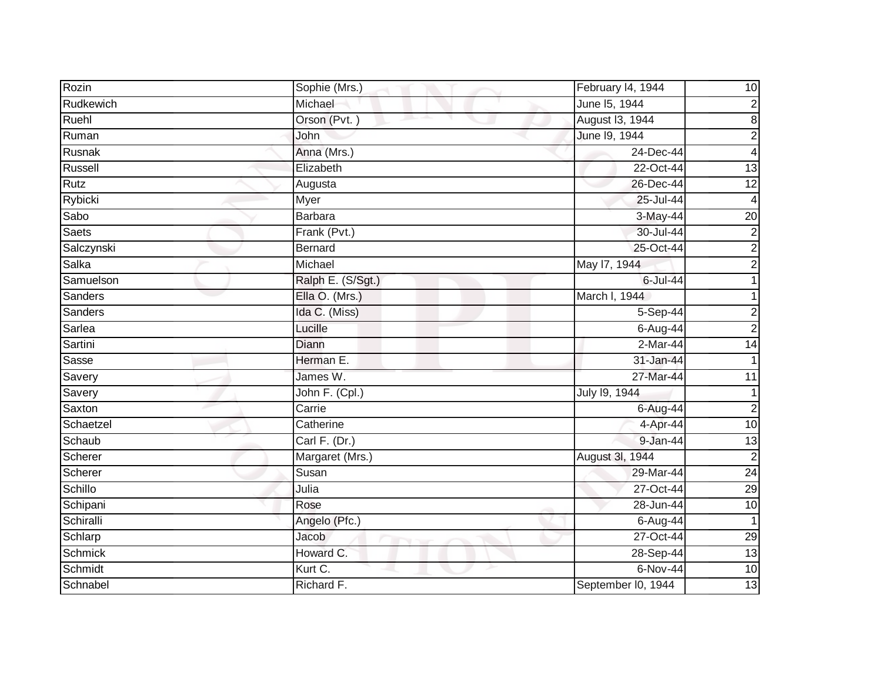| Rozin        | Sophie (Mrs.)     | February 14, 1944  | 10                      |
|--------------|-------------------|--------------------|-------------------------|
| Rudkewich    | Michael           | June 15, 1944      | $\overline{2}$          |
| Ruehl        | Orson (Pvt.)      | August 13, 1944    | $\boldsymbol{8}$        |
| Ruman        | John              | June 19, 1944      | $\overline{c}$          |
| Rusnak       | Anna (Mrs.)       | 24-Dec-44          | $\overline{\mathbf{4}}$ |
| Russell      | Elizabeth         | 22-Oct-44          | 13                      |
| Rutz         | Augusta           | 26-Dec-44          | $\overline{12}$         |
| Rybicki      | Myer              | 25-Jul-44          | 4                       |
| Sabo         | <b>Barbara</b>    | 3-May-44           | $\overline{20}$         |
| <b>Saets</b> | Frank (Pvt.)      | 30-Jul-44          | $\overline{c}$          |
| Salczynski   | <b>Bernard</b>    | 25-Oct-44          | $\overline{c}$          |
| Salka        | Michael           | May 17, 1944       | $\overline{2}$          |
| Samuelson    | Ralph E. (S/Sgt.) | 6-Jul-44           |                         |
| Sanders      | Ella O. (Mrs.)    | March I, 1944      |                         |
| Sanders      | Ida C. (Miss)     | 5-Sep-44           | 2                       |
| Sarlea       | Lucille           | 6-Aug-44           | $\overline{2}$          |
| Sartini      | Diann             | $2-Mar-44$         | 14                      |
| Sasse        | Herman E.         | $31 - Jan-44$      |                         |
| Savery       | James W.          | 27-Mar-44          | 11                      |
| Savery       | John F. (Cpl.)    | July 19, 1944      |                         |
| Saxton       | Carrie            | $6$ -Aug-44        | $\overline{2}$          |
| Schaetzel    | Catherine         | 4-Apr-44           | 10                      |
| Schaub       | Carl F. (Dr.)     | 9-Jan-44           | 13                      |
| Scherer      | Margaret (Mrs.)   | August 3I, 1944    | $\overline{2}$          |
| Scherer      | Susan             | 29-Mar-44          | 24                      |
| Schillo      | Julia             | 27-Oct-44          | 29                      |
| Schipani     | Rose              | 28-Jun-44          | 10                      |
| Schiralli    | Angelo (Pfc.)     | 6-Aug-44           | $\mathbf 1$             |
| Schlarp      | Jacob             | 27-Oct-44          | 29                      |
| Schmick      | Howard C.         | 28-Sep-44          | 13                      |
| Schmidt      | Kurt C.           | 6-Nov-44           | 10                      |
| Schnabel     | Richard F.        | September I0, 1944 | 13                      |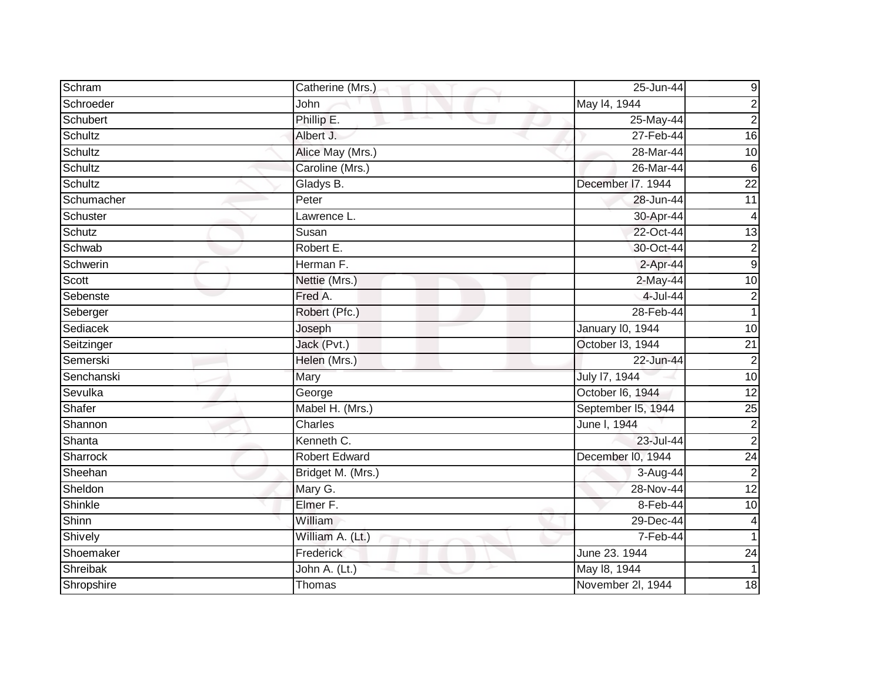| Schram         | Catherine (Mrs.)     | 25-Jun-44          | 9               |
|----------------|----------------------|--------------------|-----------------|
| Schroeder      | John                 | May 14, 1944       | $\overline{c}$  |
| Schubert       | Phillip E.           | 25-May-44          | $\overline{c}$  |
| Schultz        | Albert J.            | 27-Feb-44          | $\overline{16}$ |
| Schultz        | Alice May (Mrs.)     | 28-Mar-44          | $\overline{10}$ |
| Schultz        | Caroline (Mrs.)      | 26-Mar-44          | 6               |
| <b>Schultz</b> | Gladys B.            | December I7. 1944  | $\overline{22}$ |
| Schumacher     | Peter                | 28-Jun-44          | 11              |
| Schuster       | Lawrence L.          | 30-Apr-44          | 4               |
| Schutz         | Susan                | 22-Oct-44          | $\overline{13}$ |
| Schwab         | Robert E.            | 30-Oct-44          | $\overline{c}$  |
| Schwerin       | Herman F.            | $2-Apr-44$         | 9               |
| <b>Scott</b>   | Nettie (Mrs.)        | 2-May-44           | 10              |
| Sebenste       | Fred A.              | 4-Jul-44           | $\overline{2}$  |
| Seberger       | Robert (Pfc.)        | 28-Feb-44          |                 |
| Sediacek       | Joseph               | January I0, 1944   | 10              |
| Seitzinger     | Jack (Pvt.)          | October I3, 1944   | $\overline{21}$ |
| Semerski       | Helen (Mrs.)         | 22-Jun-44          | $\overline{2}$  |
| Senchanski     | Mary                 | July 17, 1944      | 10              |
| Sevulka        | George               | October I6, 1944   | 12              |
| Shafer         | Mabel H. (Mrs.)      | September I5, 1944 | $\overline{25}$ |
| Shannon        | Charles              | June I, 1944       | $\overline{c}$  |
| Shanta         | Kenneth C.           | 23-Jul-44          | $\overline{2}$  |
| Sharrock       | <b>Robert Edward</b> | December I0, 1944  | 24              |
| Sheehan        | Bridget M. (Mrs.)    | 3-Aug-44           | $\overline{2}$  |
| Sheldon        | Mary G.              | $28-Nov-44$        | $\overline{12}$ |
| Shinkle        | Elmer F.             | 8-Feb-44           | $\overline{10}$ |
| Shinn          | William              | 29-Dec-44          | 4               |
| Shively        | William A. (Lt.)     | 7-Feb-44           |                 |
| Shoemaker      | Frederick            | June 23. 1944      | $\overline{24}$ |
| Shreibak       | John A. (Lt.)        | May 18, 1944       |                 |
| Shropshire     | Thomas               | November 2l, 1944  | 18              |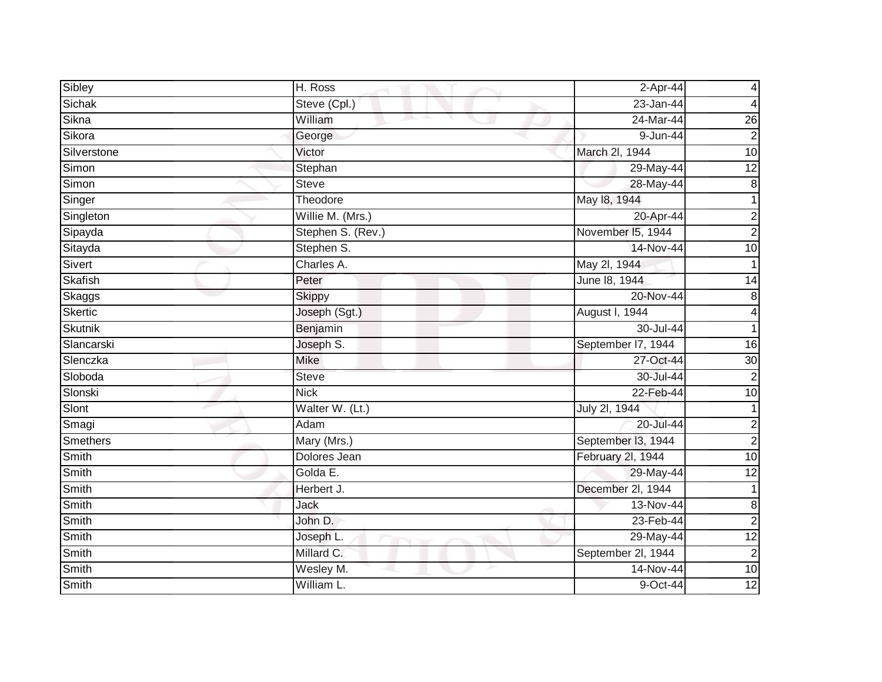| Sibley          | H. Ross           | $2-Apr-44$             | 4               |
|-----------------|-------------------|------------------------|-----------------|
| Sichak          | Steve (Cpl.)      | $23 - Jan-44$          | 4               |
| Sikna           | William<br>m.     | 24-Mar-44              | 26              |
| Sikora          | George            | $\overline{9}$ -Jun-44 | $\overline{2}$  |
| Silverstone     | Victor            | March 2l, 1944         | 10              |
| Simon           | Stephan           | 29-May-44              | 12              |
| Simon           | <b>Steve</b>      | 28-May-44              | $\bf 8$         |
| Singer          | Theodore          | May 18, 1944           | 1               |
| Singleton       | Willie M. (Mrs.)  | 20-Apr-44              | $\overline{c}$  |
| Sipayda         | Stephen S. (Rev.) | November 15, 1944      | $\overline{2}$  |
| Sitayda         | Stephen S.        | 14-Nov-44              | 10              |
| Sivert          | Charles A.        | May 2l, 1944           |                 |
| Skafish         | Peter             | June 18, 1944          | 14              |
| Skaggs          | <b>Skippy</b>     | 20-Nov-44              | 8               |
| Skertic         | Joseph (Sgt.)     | August I, 1944         | 4               |
| <b>Skutnik</b>  | Benjamin          | 30-Jul-44              |                 |
| Slancarski      | Joseph S.         | September I7, 1944     | $\overline{6}$  |
| Slenczka        | <b>Mike</b>       | 27-Oct-44              | 30              |
| Sloboda         | <b>Steve</b>      | 30-Jul-44              | $\overline{2}$  |
| Slonski         | <b>Nick</b>       | 22-Feb-44              | 10              |
| Slont           | Walter W. (Lt.)   | July 2l, 1944          |                 |
| Smagi           | Adam              | 20-Jul-44              | $\mathbf 2$     |
| <b>Smethers</b> | Mary (Mrs.)       | September I3, 1944     | $\overline{2}$  |
| Smith           | Dolores Jean      | February 2l, 1944      | $\overline{10}$ |
| Smith           | Golda E.          | 29-May-44              | $\overline{12}$ |
| Smith           | Herbert J.        | December 2l, 1944      | 1               |
| <b>Smith</b>    | Jack              | 13-Nov-44              | $\bf 8$         |
| Smith           | John D.           | 23-Feb-44              | $\overline{2}$  |
| Smith           | Joseph L.         | 29-May-44              | $\overline{12}$ |
| Smith           | Millard C.        | September 2l, 1944     | $\overline{c}$  |
| Smith           | Wesley M.         | 14-Nov-44              | 10              |
| Smith           | William L.        | 9-Oct-44               | 12              |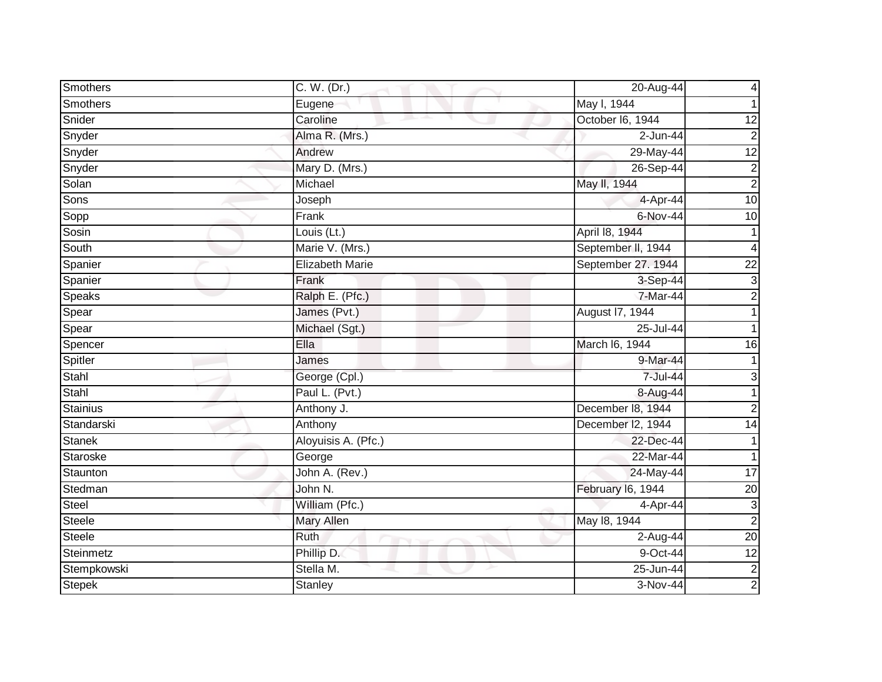| Smothers        | C. W. (Dr.)            | 20-Aug-44          | 4                       |
|-----------------|------------------------|--------------------|-------------------------|
| Smothers        | Eugene                 | May I, 1944        |                         |
| Snider          | Caroline               | October I6, 1944   | 12                      |
| Snyder          | Alma R. (Mrs.)         | 2-Jun-44           | $\overline{2}$          |
| Snyder          | Andrew                 | 29-May-44          | 12                      |
| Snyder          | Mary D. (Mrs.)         | 26-Sep-44          | $\overline{\mathbf{c}}$ |
| Solan           | Michael                | May II, 1944       | $\overline{2}$          |
| Sons            | Joseph                 | 4-Apr-44           | $\overline{10}$         |
| Sopp            | Frank                  | 6-Nov-44           | 10                      |
| Sosin           | Louis (Lt.)            | April 18, 1944     | 1                       |
| South           | Marie V. (Mrs.)        | September II, 1944 | 4                       |
| Spanier         | <b>Elizabeth Marie</b> | September 27. 1944 | 22                      |
| Spanier         | Frank                  | 3-Sep-44           | $\mathbf{3}$            |
| Speaks          | Ralph E. (Pfc.)        | 7-Mar-44           | $\overline{2}$          |
| Spear           | James (Pvt.)           | August 17, 1944    |                         |
| Spear           | Michael (Sgt.)         | 25-Jul-44          |                         |
| Spencer         | Ella                   | March I6, 1944     | 16                      |
| Spitler         | James                  | 9-Mar-44           |                         |
| Stahl           | George (Cpl.)          | 7-Jul-44           | 3                       |
| Stahl           | Paul L. (Pvt.)         | 8-Aug-44           |                         |
| <b>Stainius</b> | Anthony J.             | December 18, 1944  | $\overline{2}$          |
| Standarski      | Anthony                | December I2, 1944  | 14                      |
| <b>Stanek</b>   | Aloyuisis A. (Pfc.)    | 22-Dec-44          | 1                       |
| Staroske        | George                 | 22-Mar-44          | $\mathbf{1}$            |
| Staunton        | John A. (Rev.)         | 24-May-44          | $\overline{17}$         |
| Stedman         | John N.                | February 16, 1944  | 20                      |
| Steel           | William (Pfc.)         | 4-Apr-44           | 3                       |
| <b>Steele</b>   | <b>Mary Allen</b>      | May 18, 1944       | $\overline{2}$          |
| <b>Steele</b>   | Ruth                   | 2-Aug-44           | 20                      |
| Steinmetz       | Phillip D.             | 9-Oct-44           | $\overline{12}$         |
| Stempkowski     | Stella M.              | 25-Jun-44          | $\overline{\mathbf{c}}$ |
| <b>Stepek</b>   | <b>Stanley</b>         | 3-Nov-44           | $\overline{2}$          |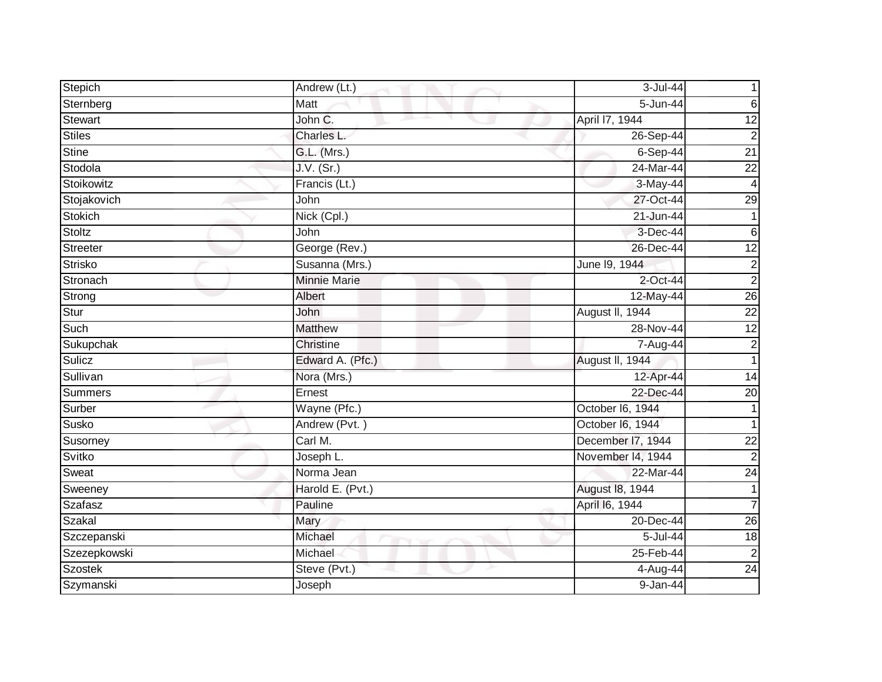| Stepich        | Andrew (Lt.)                  | 3-Jul-44          |                 |
|----------------|-------------------------------|-------------------|-----------------|
| Sternberg      | Matt                          | 5-Jun-44          | 6               |
| Stewart        | John C.<br>and the projection | April 17, 1944    | $\overline{12}$ |
| <b>Stiles</b>  | Charles L.                    | 26-Sep-44         | $\overline{2}$  |
| Stine          | G.L. (Mrs.)                   | $6-Sep-44$        | $\overline{21}$ |
| Stodola        | J.V. (Sr.)                    | 24-Mar-44         | 22              |
| Stoikowitz     | Francis (Lt.)                 | 3-May-44          | $\overline{4}$  |
| Stojakovich    | John                          | 27-Oct-44         | 29              |
| Stokich        | Nick (Cpl.)                   | 21-Jun-44         |                 |
| Stoltz         | John                          | 3-Dec-44          | $\,6$           |
| Streeter       | George (Rev.)                 | 26-Dec-44         | $\overline{12}$ |
| <b>Strisko</b> | Susanna (Mrs.)                | June 19, 1944     | $\overline{c}$  |
| Stronach       | <b>Minnie Marie</b>           | $2$ -Oct-44       | $\overline{2}$  |
| Strong         | <b>Albert</b>                 | 12-May-44         | 26              |
| Stur           | John                          | August II, 1944   | $\overline{22}$ |
| Such           | <b>Matthew</b>                | 28-Nov-44         | $\overline{12}$ |
| Sukupchak      | Christine                     | 7-Aug-44          | $\overline{2}$  |
| Sulicz         | Edward A. (Pfc.)              | August II, 1944   | $\mathbf{1}$    |
| Sullivan       | Nora (Mrs.)                   | 12-Apr-44         | 14              |
| Summers        | Ernest                        | 22-Dec-44         | $\overline{20}$ |
| Surber         | Wayne (Pfc.)                  | October I6, 1944  |                 |
| Susko          | Andrew (Pvt.)                 | October I6, 1944  |                 |
| Susorney       | Carl M.                       | December I7, 1944 | $\overline{22}$ |
| Svitko         | Joseph L.                     | November 14, 1944 | $\overline{2}$  |
| Sweat          | Norma Jean                    | 22-Mar-44         | $\overline{24}$ |
| Sweeney        | Harold E. (Pvt.)              | August 18, 1944   |                 |
| Szafasz        | Pauline                       | April 16, 1944    | 7               |
| Szakal         | Mary                          | 20-Dec-44         | $\overline{26}$ |
| Szczepanski    | Michael                       | 5-Jul-44          | 18              |
| Szezepkowski   | Michael                       | 25-Feb-44         | $\overline{2}$  |
| <b>Szostek</b> | Steve (Pvt.)                  | 4-Aug-44          | $\overline{24}$ |
| Szymanski      | Joseph                        | $9 - Jan-44$      |                 |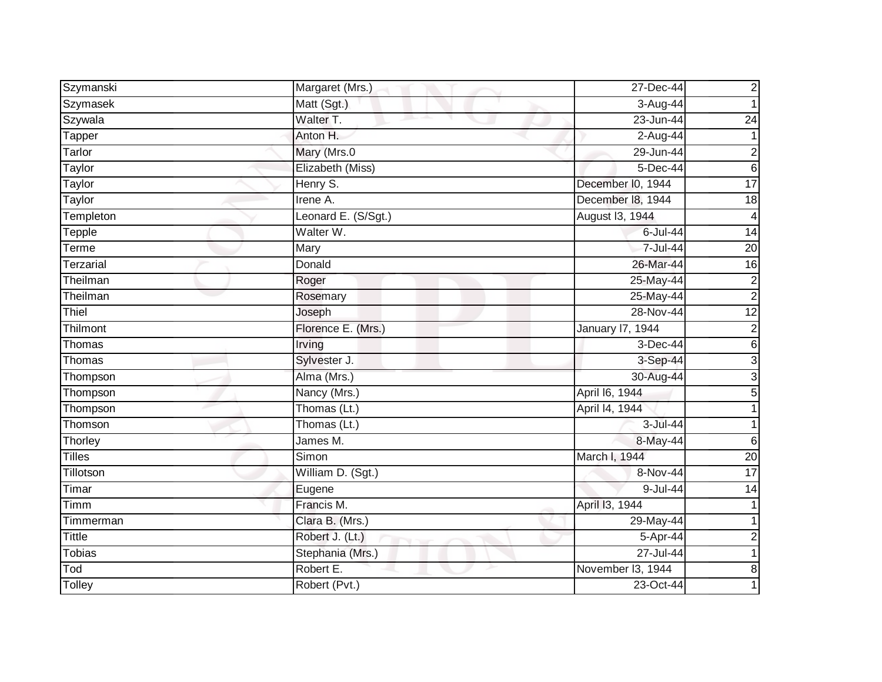| Szymanski        | Margaret (Mrs.)     | 27-Dec-44         | 2               |
|------------------|---------------------|-------------------|-----------------|
| Szymasek         | Matt (Sgt.)         | 3-Aug-44          |                 |
| Szywala          | Walter T.           | 23-Jun-44         | $\overline{24}$ |
| Tapper           | Anton H.            | 2-Aug-44          |                 |
| Tarlor           | Mary (Mrs.0         | 29-Jun-44         | 2               |
| Taylor           | Elizabeth (Miss)    | 5-Dec-44          | 6               |
| Taylor           | Henry S.            | December I0, 1944 | $\overline{17}$ |
| Taylor           | Irene A.            | December 18, 1944 | 18              |
| Templeton        | Leonard E. (S/Sgt.) | August 13, 1944   | 4               |
| Tepple           | Walter W.           | $6$ -Jul-44       | $\overline{14}$ |
| Terme            | Mary                | 7-Jul-44          | $\overline{20}$ |
| <b>Terzarial</b> | Donald              | 26-Mar-44         | 16              |
| Theilman         | Roger               | 25-May-44         | $\overline{2}$  |
| Theilman         | Rosemary            | 25-May-44         | $\overline{2}$  |
| Thiel            | Joseph              | 28-Nov-44         | $\overline{12}$ |
| Thilmont         | Florence E. (Mrs.)  | January 17, 1944  | $\overline{2}$  |
| Thomas           | <b>Irving</b>       | 3-Dec-44          | 6               |
| Thomas           | Sylvester J.        | 3-Sep-44          | 3               |
| Thompson         | Alma (Mrs.)         | 30-Aug-44         | $\overline{3}$  |
| Thompson         | Nancy (Mrs.)        | April 16, 1944    | 5               |
| Thompson         | Thomas (Lt.)        | April 14, 1944    |                 |
| Thomson          | Thomas (Lt.)        | 3-Jul-44          |                 |
| Thorley          | James M.            | 8-May-44          | 6               |
| <b>Tilles</b>    | Simon               | March I, 1944     | $\overline{20}$ |
| Tillotson        | William D. (Sgt.)   | 8-Nov-44          | 17              |
| Timar            | Eugene              | 9-Jul-44          | 14              |
| Timm             | Francis M.          | April 13, 1944    |                 |
| Timmerman        | Clara B. (Mrs.)     | 29-May-44         |                 |
| <b>Tittle</b>    | Robert J. (Lt.)     | 5-Apr-44          | $\overline{2}$  |
| <b>Tobias</b>    | Stephania (Mrs.)    | 27-Jul-44         |                 |
| Tod              | Robert E.           | November I3, 1944 | 8               |
| Tolley           | Robert (Pvt.)       | 23-Oct-44         |                 |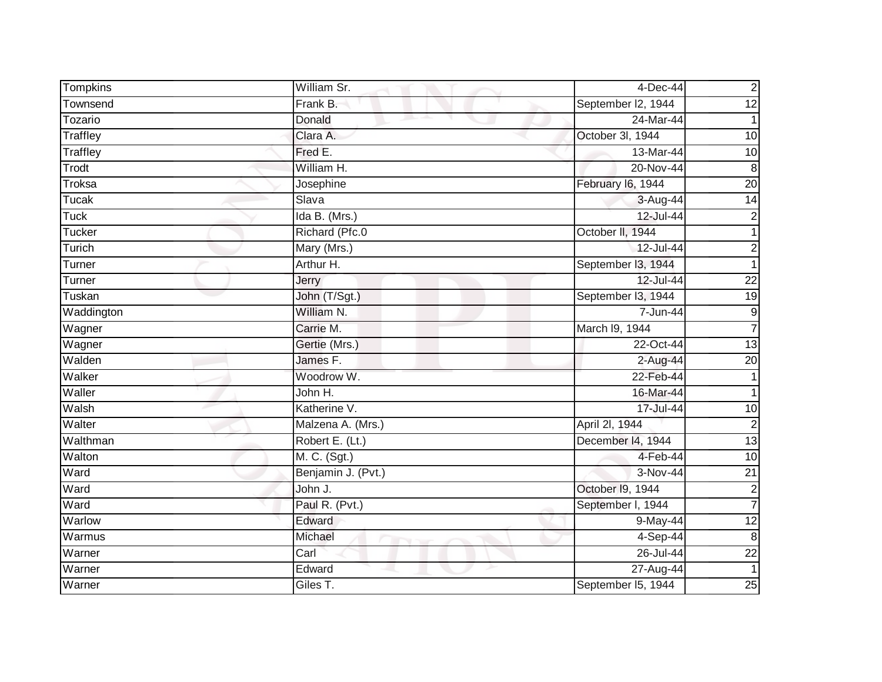| Tompkins        | William Sr.        | $4$ -Dec-44            | $\mathbf 2$             |
|-----------------|--------------------|------------------------|-------------------------|
| Townsend        | Frank B.           | September I2, 1944     | $\overline{12}$         |
| Tozario         | Donald             | 24-Mar-44              | 1                       |
| Traffley        | Clara A.           | October 3I, 1944       | 10                      |
| <b>Traffley</b> | Fred E.            | 13-Mar-44              | 10                      |
| Trodt           | William H.         | 20-Nov-44              | 8                       |
| Troksa          | Josephine          | February I6, 1944      | $\overline{20}$         |
| <b>Tucak</b>    | Slava              | 3-Aug-44               | $\overline{14}$         |
| Tuck            | Ida B. (Mrs.)      | 12-Jul-44              | 2                       |
| <b>Tucker</b>   | Richard (Pfc.0     | October II, 1944       | 1                       |
| Turich          | Mary (Mrs.)        | 12-Jul-44              | 2                       |
| Turner          | Arthur H.          | September 13, 1944     | 1                       |
| Turner          | Jerry              | 12-Jul-44              | $\overline{22}$         |
| Tuskan          | John (T/Sgt.)      | September I3, 1944     | $\overline{19}$         |
| Waddington      | William N.         | 7-Jun-44               | $\boldsymbol{9}$        |
| Wagner          | Carrie M.          | March I9, 1944         | $\overline{7}$          |
| Wagner          | Gertie (Mrs.)      | 22-Oct-44              | 13                      |
| Walden          | James F.           | 2-Aug-44               | $\overline{20}$         |
| Walker          | Woodrow W.         | 22-Feb-44              | 1                       |
| Waller          | John H.            | 16-Mar-44              |                         |
| Walsh           | Katherine V.       | 17-Jul-44              | $\overline{10}$         |
| Walter          | Malzena A. (Mrs.)  | April 2I, 1944         | $\overline{2}$          |
| Walthman        | Robert E. (Lt.)    | December 14, 1944      | 13                      |
| Walton          | M. C. (Sgt.)       | 4-Feb-44               | $\overline{10}$         |
| Ward            | Benjamin J. (Pvt.) | $\overline{3}$ -Nov-44 | $\overline{21}$         |
| Ward            | John J.            | October 19, 1944       | $\overline{\mathbf{c}}$ |
| Ward            | Paul R. (Pvt.)     | September I, 1944      | $\overline{7}$          |
| Warlow          | Edward             | 9-May-44               | $\overline{12}$         |
| Warmus          | Michael            | 4-Sep-44               | 8                       |
| Warner          | Carl               | 26-Jul-44              | $\overline{22}$         |
| Warner          | Edward             | 27-Aug-44              |                         |
| Warner          | Giles T.           | September I5, 1944     | 25                      |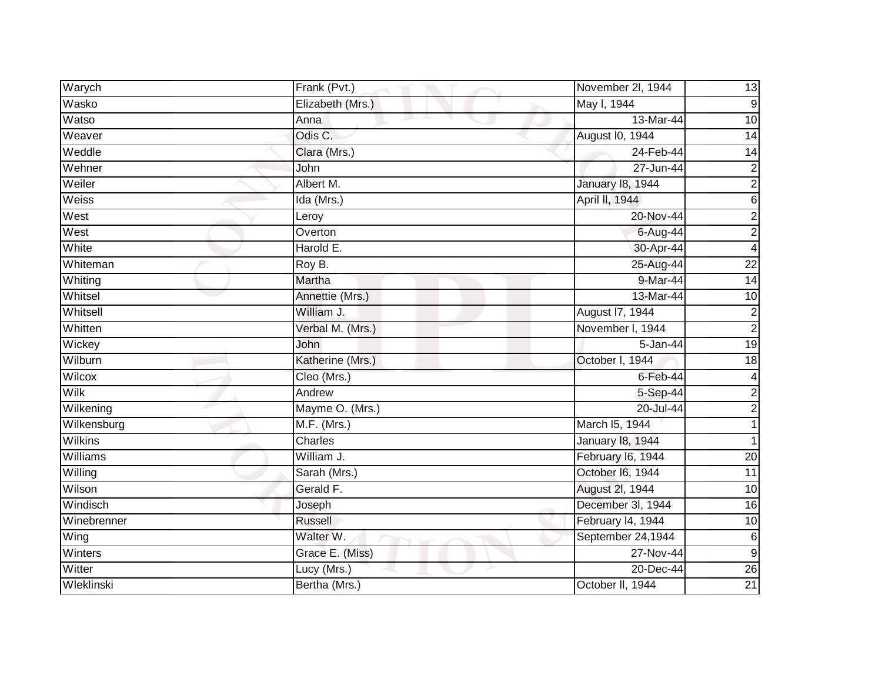| Warych         | Frank (Pvt.)     | November 2I, 1944 | 13              |
|----------------|------------------|-------------------|-----------------|
| Wasko          | Elizabeth (Mrs.) | May I, 1944       | 9               |
| Watso          | Anna             | 13-Mar-44         | 10              |
| Weaver         | Odis C.          | August I0, 1944   | 14              |
| Weddle         | Clara (Mrs.)     | 24-Feb-44         | 14              |
| Wehner         | John             | 27-Jun-44         | 2               |
| Weiler         | Albert M.        | January 18, 1944  | $\overline{c}$  |
| Weiss          | Ida (Mrs.)       | April II, 1944    | 6               |
| West           | Leroy            | 20-Nov-44         | $\overline{c}$  |
| West           | Overton          | 6-Aug-44          | $\overline{2}$  |
| White          | Harold E.        | 30-Apr-44         | 4               |
| Whiteman       | Roy B.           | 25-Aug-44         | $\overline{22}$ |
| Whiting        | Martha           | 9-Mar-44          | $\overline{14}$ |
| Whitsel        | Annettie (Mrs.)  | 13-Mar-44         | 10              |
| Whitsell       | William J.       | August 17, 1944   | 2               |
| Whitten        | Verbal M. (Mrs.) | November I, 1944  | $\overline{2}$  |
| Wickey         | John             | 5-Jan-44          | $\overline{19}$ |
| Wilburn        | Katherine (Mrs.) | October I, 1944   | 18              |
| Wilcox         | Cleo (Mrs.)      | $6$ -Feb-44       | 4               |
| <b>Wilk</b>    | Andrew           | 5-Sep-44          | 2               |
| Wilkening      | Mayme O. (Mrs.)  | 20-Jul-44         | $\overline{2}$  |
| Wilkensburg    | M.F. (Mrs.)      | March I5, 1944    |                 |
| <b>Wilkins</b> | Charles          | January 18, 1944  |                 |
| Williams       | William J.       | February I6, 1944 | 20              |
| Willing        | Sarah (Mrs.)     | October I6, 1944  | 11              |
| Wilson         | Gerald F.        | August 2l, 1944   | 10              |
| Windisch       | Joseph           | December 3l, 1944 | $\overline{16}$ |
| Winebrenner    | <b>Russell</b>   | February I4, 1944 | 10              |
| Wing           | Walter W.        | September 24,1944 | 6               |
| Winters        | Grace E. (Miss)  | 27-Nov-44         | 9               |
| Witter         | Lucy (Mrs.)      | 20-Dec-44         | $\overline{26}$ |
| Wleklinski     | Bertha (Mrs.)    | October II, 1944  | 21              |